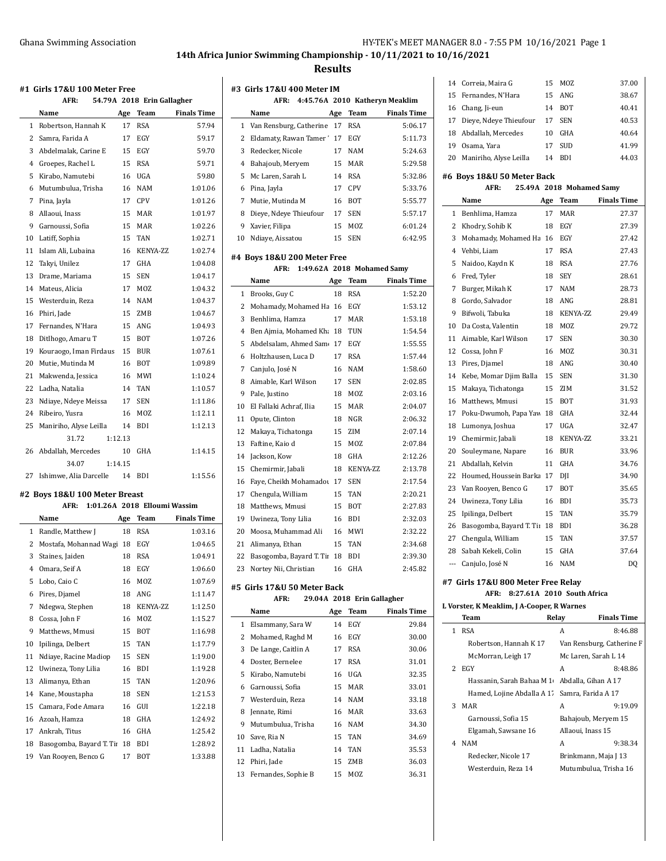# **14th Africa Junior Swimming Championship - 10/11/2021 to 10/16/2021**

#### **Results**

**#3 Girls 17&U 400 Meter IM**

 $\overline{\phantom{a}}$ 

 $\sim$ 

| #1 Girls 17&U 100 Meter Free |                               |     |                              |                    |
|------------------------------|-------------------------------|-----|------------------------------|--------------------|
|                              | AFR:                          |     | 54.79A 2018 Erin Gallagher   |                    |
|                              | Name                          | Age | Team                         | <b>Finals Time</b> |
| 1                            | Robertson, Hannah K           | 17  | <b>RSA</b>                   | 57.94              |
| 2                            | Samra, Farida A               | 17  | EGY                          | 59.17              |
| 3                            | Abdelmalak, Carine E          | 15  | EGY                          | 59.70              |
| $\overline{4}$               | Groepes, Rachel L             | 15  | <b>RSA</b>                   | 59.71              |
| 5                            | Kirabo, Namutebi              | 16  | UGA                          | 59.80              |
| 6                            | Mutumbulua, Trisha            | 16  | NAM                          | 1:01.06            |
| 7                            | Pina, Jayla                   | 17  | <b>CPV</b>                   | 1:01.26            |
| 8                            | Allaoui, Inass                | 15  | <b>MAR</b>                   | 1:01.97            |
| 9                            | Garnoussi, Sofia              | 15  | <b>MAR</b>                   | 1:02.26            |
| 10                           | Latiff, Sophia                | 15  | TAN                          | 1:02.71            |
| 11                           | Islam Ali, Lubaina            | 16  | KENYA-ZZ                     | 1:02.74            |
| 12                           | Takyi, Unilez                 | 17  | <b>GHA</b>                   | 1:04.08            |
| 13                           | Drame, Mariama                | 15  | <b>SEN</b>                   | 1:04.17            |
| 14                           | Mateus, Alicia                | 17  | MOZ                          | 1:04.32            |
| 15                           | Westerduin, Reza              | 14  | <b>NAM</b>                   | 1:04.37            |
| 16                           | Phiri, Jade                   | 15  | ZMB                          | 1:04.67            |
| 17                           | Fernandes, N'Hara             | 15  | ANG                          | 1:04.93            |
| 18                           | Ditlhogo, Amaru T             | 15  | <b>BOT</b>                   | 1:07.26            |
| 19                           | Kouraogo, Iman Firdaus        | 15  | <b>BUR</b>                   | 1:07.61            |
| 20                           | Mutie, Mutinda M              | 16  | <b>BOT</b>                   | 1:09.89            |
| 21                           | Makwenda, Jessica             | 16  | MWI                          | 1:10.24            |
| 22                           | Ladha, Natalia                | 14  | <b>TAN</b>                   | 1:10.57            |
| 23                           | Ndiaye, Ndeye Meissa          | 17  | <b>SEN</b>                   | 1:11.86            |
| 24                           | Ribeiro, Yusra                | 16  | MOZ                          | 1:12.11            |
| 25                           | Maniriho, Alyse Leilla        | 14  | <b>BDI</b>                   | 1:12.13            |
|                              | 31.72<br>1:12.13              |     |                              |                    |
| 26                           | Abdallah, Mercedes            | 10  | GHA                          | 1:14.15            |
|                              | 34.07<br>1:14.15              |     |                              |                    |
| 27                           | Ishimwe, Alia Darcelle        | 14  | <b>BDI</b>                   | 1:15.56            |
|                              |                               |     |                              |                    |
|                              | #2 Boys 18&U 100 Meter Breast |     |                              |                    |
|                              | AFR:                          |     | 1:01.26A 2018 Elloumi Wassim |                    |
|                              | Name                          | Age | <b>Team</b>                  | <b>Finals Time</b> |
| 1                            | Randle, Matthew J             | 18  | <b>RSA</b>                   | 1:03.16            |
| $\overline{2}$               | Mostafa, Mohannad Wagi 18     |     | EGY                          | 1:04.65            |
| 3                            | Staines, Jaiden               | 18  | <b>RSA</b>                   | 1:04.91            |
| $\overline{4}$               | Omara, Seif A                 | 18  | EGY                          | 1:06.60            |
| 5                            | Lobo, Caio C                  | 16  | MOZ                          | 1:07.69            |
| 6                            | Pires, Djamel                 | 18  | ANG                          | 1:11.47            |
| 7                            | Ndegwa, Stephen               | 18  | KENYA-ZZ                     | 1:12.50            |
| 8                            | Cossa, John F                 | 16  | <b>MOZ</b>                   | 1:15.27            |
| 9                            | Matthews, Mmusi               | 15  | <b>BOT</b>                   | 1:16.98            |
| 10                           | Ipilinga, Delbert             | 15  | TAN                          | 1:17.79            |

 Ndiaye, Racine Madiop 15 SEN 1:19.00 Uwineza, Tony Lilia 16 BDI 1:19.28 Alimanya, Ethan 15 TAN 1:20.96 Kane, Moustapha 18 SEN 1:21.53 Camara, Fode Amara 16 GUI 1:22.18 Azoah, Hamza 18 GHA 1:24.92 Ankrah, Titus 16 GHA 1:25.42 18 Basogomba, Bayard T. Tin 18 BDI 1:28.92 Van Rooyen, Benco G 17 BOT 1:33.88

|                | AFR:                                |     | 4:45.76A 2010 Katheryn Meaklim |                    |
|----------------|-------------------------------------|-----|--------------------------------|--------------------|
|                | Name                                | Age | <b>Team</b>                    | <b>Finals Time</b> |
| 1              | Van Rensburg, Catherine             | 17  | <b>RSA</b>                     | 5:06.17            |
| 2              | Eldamaty, Rawan Tamer'              | 17  | EGY                            | 5:11.73            |
| 3              | Redecker, Nicole                    | 17  | <b>NAM</b>                     | 5:24.63            |
| 4              | Bahajoub, Meryem                    | 15  | <b>MAR</b>                     | 5:29.58            |
| 5              | Mc Laren, Sarah L                   | 14  | <b>RSA</b>                     | 5:32.86            |
| 6              | Pina, Jayla                         | 17  | CPV                            | 5:33.76            |
| 7              | Mutie, Mutinda M                    | 16  | <b>BOT</b>                     | 5:55.77            |
| 8              | Dieye, Ndeye Thieufour              | 17  | SEN                            | 5:57.17            |
| 9              | Xavier, Filipa                      | 15  | MOZ                            | 6:01.24            |
| 10             | Ndiaye, Aissatou                    | 15  | <b>SEN</b>                     | 6:42.95            |
|                |                                     |     |                                |                    |
|                | #4 Boys 18&U 200 Meter Free<br>AFR: |     | 1:49.62A 2018 Mohamed Samy     |                    |
|                | Name                                |     | Team                           | <b>Finals Time</b> |
|                |                                     | Age |                                |                    |
| 1              | Brooks, Guy C                       | 18  | <b>RSA</b>                     | 1:52.20            |
| 2              | Mohamady, Mohamed Ha                | 16  | EGY                            | 1:53.12            |
| 3              | Benhlima, Hamza                     | 17  | <b>MAR</b>                     | 1:53.18            |
| $\overline{4}$ | Ben Ajmia, Mohamed Kha              | 18  | TUN                            | 1:54.54            |
| 5              | Abdelsalam. Ahmed Sam 17            |     | EGY                            | 1:55.55            |
| 6              | Holtzhausen, Luca D                 | 17  | <b>RSA</b>                     | 1:57.44            |
| 7              | Canjulo, José N                     | 16  | <b>NAM</b>                     | 1:58.60            |
| 8              | Aimable, Karl Wilson                | 17  | <b>SEN</b>                     | 2:02.85            |
| 9              | Pale, Justino                       | 18  | <b>MOZ</b>                     | 2:03.16            |
| 10             | El Fallaki Achraf, Ilia             | 15  | <b>MAR</b>                     | 2:04.07            |
| 11             | Opute, Clinton                      | 18  | <b>NGR</b>                     | 2:06.32            |
| 12             | Makaya, Tichatonga                  | 15  | ZIM                            | 2:07.14            |
| 13             | Faftine, Kaio d                     | 15  | MOZ                            | 2:07.84            |
| 14             | Jackson, Kow                        | 18  | GHA                            | 2:12.26            |
| 15             | Chemirmir, Jabali                   | 18  | KENYA-ZZ                       | 2:13.78            |
| 16             | Faye, Cheikh Mohamadou              | 17  | <b>SEN</b>                     | 2:17.54            |
| 17             | Chengula, William                   | 15  | <b>TAN</b>                     | 2:20.21            |
| 18             | Matthews, Mmusi                     | 15  | <b>BOT</b>                     | 2:27.83            |
| 19             | Uwineza, Tony Lilia                 | 16  | BDI                            | 2:32.03            |
| 20             | Moosa, Muhammad Ali                 | 16  | MWI                            | 2:32.22            |
| 21             | Alimanya, Ethan                     | 15  | <b>TAN</b>                     | 2:34.68            |
| 22             | Basogomba, Bayard T. Tir            | 18  | <b>BDI</b>                     | 2:39.30            |
| 23             | Nortey Nii, Christian               | 16  | <b>GHA</b>                     | 2:45.82            |
|                |                                     |     |                                |                    |
|                | #5 Girls 17&U 50 Meter Back<br>AFR: |     | 29.04A 2018 Erin Gallagher     |                    |
|                | Name                                | Age | <b>Team</b>                    | <b>Finals Time</b> |
|                |                                     |     |                                |                    |
| 1              | Elsammany, Sara W                   | 14  | EGY                            | 29.84              |
| 2              | Mohamed, Raghd M                    | 16  | EGY                            | 30.00              |
| 3              | De Lange, Caitlin A                 | 17  | RSA                            | 30.06              |
| $\overline{4}$ | Doster, Bernelee                    | 17  | <b>RSA</b>                     | 31.01              |
| 5              | Kirabo, Namutebi                    | 16  | UGA                            | 32.35              |
| 6              | Garnoussi, Sofia                    | 15  | MAR                            | 33.01              |
| 7              | Westerduin, Reza                    | 14  | <b>NAM</b>                     | 33.18              |
| 8              | Jennate, Rimi                       | 16  | <b>MAR</b>                     | 33.63              |
| 9              | Mutumbulua, Trisha                  | 16  | NAM                            | 34.30              |
| 10             | Save, Ria N                         | 15  | TAN                            | 34.69              |
| 11             | Ladha, Natalia                      | 14  | <b>TAN</b>                     | 35.53              |
| 12             | Phiri, Jade                         | 15  | ZMB                            | 36.03              |
| 13             | Fernandes, Sophie B                 | 15  | MOZ                            | 36.31              |

|    | 14 Correia, Maira G       | 15 | MOZ        | 37.00 |
|----|---------------------------|----|------------|-------|
|    | 15 Fernandes, N'Hara      | 15 | ANG        | 38.67 |
|    | 16 Chang, Ji-eun          | 14 | <b>BOT</b> | 40.41 |
|    | 17 Dieye, Ndeye Thieufour | 17 | <b>SEN</b> | 40.53 |
|    | 18 Abdallah, Mercedes     | 10 | GHA        | 40.64 |
| 19 | Osama, Yara               | 17 | <b>SUD</b> | 41.99 |
| 20 | Maniriho, Alyse Leilla    | 14 | RDI        | 44.03 |

#### **#6 Boys 18&U 50 Meter Back**

| AFR: |  | 25.49A 2018 Mohamed Samy |
|------|--|--------------------------|
|      |  |                          |

|     | Name                     | Age | Team       | <b>Finals Time</b> |
|-----|--------------------------|-----|------------|--------------------|
| 1   | Benhlima, Hamza          | 17  | MAR        | 27.37              |
| 2   | Khodry, Sohib K          | 18  | EGY        | 27.39              |
| 3   | Mohamady, Mohamed Ha     | 16  | EGY        | 27.42              |
| 4   | Vehbi, Liam              | 17  | RSA        | 27.43              |
| 5   | Naidoo, Kaydn K          | 18  | <b>RSA</b> | 27.76              |
| 6   | Fred, Tyler              | 18  | <b>SEY</b> | 28.61              |
| 7   | Burger, Mikah K          | 17  | NAM        | 28.73              |
| 8   | Gordo, Salvador          | 18  | ANG        | 28.81              |
| 9   | Bifwoli, Tabuka          | 18  | KENYA-ZZ   | 29.49              |
| 10  | Da Costa, Valentin       | 18  | MOZ.       | 29.72              |
| 11  | Aimable, Karl Wilson     | 17  | <b>SEN</b> | 30.30              |
| 12  | Cossa, John F            | 16  | MOZ        | 30.31              |
| 13  | Pires, Djamel            | 18  | ANG        | 30.40              |
| 14  | Kebe, Momar Djim Balla   | 15  | <b>SEN</b> | 31.30              |
| 15  | Makaya, Tichatonga       | 15  | ZIM        | 31.52              |
| 16  | Matthews, Mmusi          | 15  | BOT        | 31.93              |
| 17  | Poku-Dwumoh, Papa Yaw 18 |     | GHA        | 32.44              |
| 18  | Lumonya, Joshua          | 17  | UGA        | 32.47              |
| 19  | Chemirmir, Jabali        | 18  | KENYA-ZZ   | 33.21              |
| 20  | Souleymane, Napare       | 16  | <b>BUR</b> | 33.96              |
| 21  | Abdallah, Kelvin         | 11  | GHA        | 34.76              |
| 22  | Houmed, Houssein Barka   | 17  | DJI        | 34.90              |
| 23  | Van Rooyen, Benco G      | 17  | BOT        | 35.65              |
| 24  | Uwineza, Tony Lilia      | 16  | BDI        | 35.73              |
| 25  | Ipilinga, Delbert        | 15  | TAN        | 35.79              |
| 26  | Basogomba, Bayard T. Tii | 18  | BDI        | 36.28              |
| 27  | Chengula, William        | 15  | TAN        | 37.57              |
| 28  | Sabah Kekeli. Colin      | 15  | GHA        | 37.64              |
| --- | Canjulo, José N          | 16  | <b>NAM</b> | DQ                 |

#### **#7 Girls 17&U 800 Meter Free Relay**

**AFR: 8:27.61A 2010 South Africa**

**L Vorster, K Meaklim, J A-Cooper, R Warnes**

|   | Team                                          | Relay | <b>Finals Time</b>        |
|---|-----------------------------------------------|-------|---------------------------|
| 1 | <b>RSA</b>                                    | A     | 8:46.88                   |
|   | Robertson, Hannah K 17                        |       | Van Rensburg, Catherine F |
|   | McMorran, Leigh 17                            |       | Mc Laren, Sarah L 14      |
| 2 | EGY                                           | A     | 8:48.86                   |
|   | Hassanin, Sarah Bahaa M 1                     |       | Abdalla, Gihan A 17       |
|   | Hamed, Lojine Abdalla A 17 Samra, Farida A 17 |       |                           |
| 3 | MAR                                           | A     | 9:19.09                   |
|   | Garnoussi, Sofia 15                           |       | Bahajoub, Meryem 15       |
|   | Elgamah, Sawsane 16                           |       | Allaoui, Inass 15         |
| 4 | <b>NAM</b>                                    | А     | 9:38.34                   |
|   | Redecker, Nicole 17                           |       | Brinkmann, Maja J 13      |
|   | Westerduin, Reza 14                           |       | Mutumbulua, Trisha 16     |
|   |                                               |       |                           |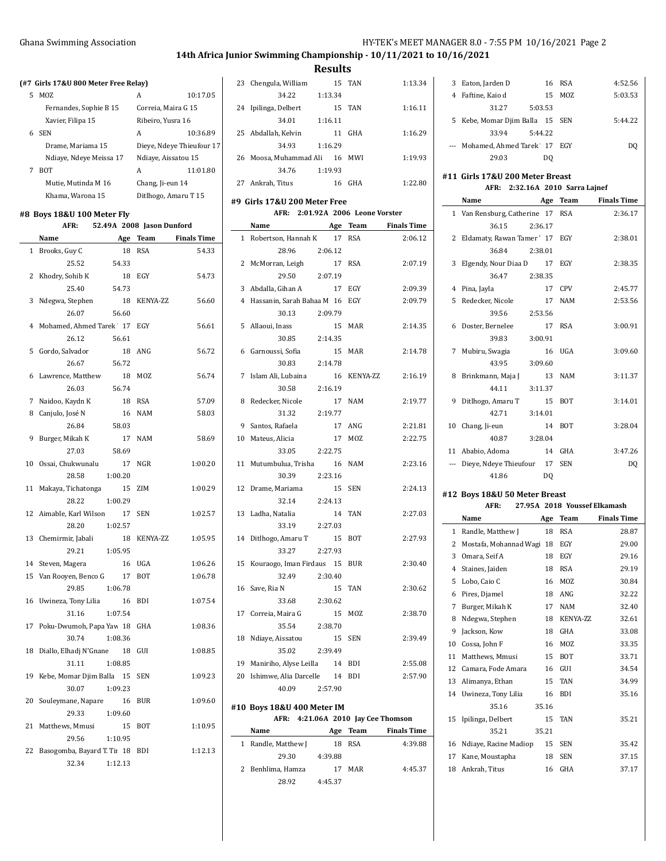# **14th Africa Junior Swimming Championship - 10/11/2021 to 10/16/2021**

**Results**

 $\overline{1}$ 

|    | (#7 Girls 17&U 800 Meter Free Relay) |                           |                   |                           |  |  |
|----|--------------------------------------|---------------------------|-------------------|---------------------------|--|--|
| 5. | M07.                                 |                           | А                 | 10:17.05                  |  |  |
|    | Fernandes, Sophie B 15               |                           |                   | Correia, Maira G 15       |  |  |
|    | Xavier, Filipa 15                    |                           | Ribeiro, Yusra 16 |                           |  |  |
|    | 6 SEN                                |                           | A                 | 10:36.89                  |  |  |
|    | Drame, Mariama 15                    |                           |                   | Dieye, Ndeye Thieufour 17 |  |  |
|    | Ndiaye, Ndeye Meissa 17              |                           |                   | Ndiaye, Aissatou 15       |  |  |
| 7  | <b>BOT</b>                           |                           | A                 | 11:01.80                  |  |  |
|    | Mutie, Mutinda M 16                  |                           | Chang, Ji-eun 14  |                           |  |  |
|    | Khama, Warona 15                     |                           |                   | Ditlhogo, Amaru T 15      |  |  |
|    | #8 Boys 18&U 100 Meter Fly<br>AFR:   | 52.49A 2008 Jason Dunford |                   |                           |  |  |
|    | Name                                 | Age                       | Team              | <b>Finals Time</b>        |  |  |
| 1  | Brooks. Guv C                        | 18                        | RSA               | 54.33                     |  |  |

| 1  | Brooks, Guy C<br>18            | 54.33<br>RSA          |
|----|--------------------------------|-----------------------|
|    | 25.52<br>54.33                 |                       |
| 2  | Khodry, Sohib K<br>18          | EGY<br>54.73          |
|    | 25.40<br>54.73                 |                       |
| 3  | Ndegwa, Stephen<br>18          | KENYA-ZZ<br>56.60     |
|    | 26.07<br>56.60                 |                       |
| 4  | Mohamed, Ahmed Tarek 17        | 56.61<br>EGY          |
|    | 26.12<br>56.61                 |                       |
| 5  | Gordo, Salvador<br>18          | ANG<br>56.72          |
|    | 26.67<br>56.72                 |                       |
| 6  | Lawrence, Matthew<br>18        | 56.74<br>MOZ          |
|    | 26.03<br>56.74                 |                       |
| 7  | 18<br>Naidoo, Kaydn K          | <b>RSA</b><br>57.09   |
| 8  | Canjulo, José N<br>16          | <b>NAM</b><br>58.03   |
|    | 58.03<br>26.84                 |                       |
| 9  | Burger, Mikah K<br>17          | 58.69<br><b>NAM</b>   |
|    | 27.03<br>58.69                 |                       |
|    | 10 Ossai, Chukwunalu<br>17     | 1:00.20<br><b>NGR</b> |
|    | 28.58<br>1:00.20               |                       |
| 11 | Makaya, Tichatonga<br>15       | 1:00.29<br>ZIM        |
|    | 28.22<br>1:00.29               |                       |
|    | 12 Aimable, Karl Wilson 17     | 1:02.57<br><b>SEN</b> |
|    | 28.20<br>1:02.57               |                       |
| 13 | Chemirmir, Jabali<br>18        | KENYA-ZZ<br>1:05.95   |
|    | 1:05.95<br>29.21               |                       |
|    | 14 Steven, Magera<br>16        | 1:06.26<br><b>UGA</b> |
|    | 15 Van Rooyen, Benco G<br>17   | 1:06.78<br><b>BOT</b> |
|    | 1:06.78<br>29.85               |                       |
| 16 | Uwineza, Tony Lilia<br>16      | 1:07.54<br><b>BDI</b> |
|    | 31.16<br>1:07.54               |                       |
| 17 | Poku-Dwumoh, Papa Yaw 18       | 1:08.36<br>GHA        |
|    | 1:08.36<br>30.74               |                       |
| 18 | Diallo, Elhadj N'Gnane 18      | GUI<br>1:08.85        |
|    | 31.11<br>1:08.85               |                       |
| 19 | Kebe, Momar Djim Balla 15      | 1:09.23<br><b>SEN</b> |
|    | 30.07<br>1:09.23               |                       |
|    | 20 Souleymane, Napare<br>16    | 1:09.60<br><b>BUR</b> |
|    | 29.33<br>1:09.60               |                       |
| 21 | Matthews, Mmusi<br>15          | 1:10.95<br><b>BOT</b> |
|    | 29.56<br>1:10.95               |                       |
|    | 22 Basogomba, Bayard T. Tii 18 | 1:12.13<br><b>BDI</b> |
|    | 32.34<br>1:12.13               |                       |

|    | 23 Chengula, William                                             |         | 15 TAN      | 1:13.34            |
|----|------------------------------------------------------------------|---------|-------------|--------------------|
|    | 34.22                                                            | 1:13.34 |             |                    |
|    | 24 Ipilinga, Delbert                                             | 15 TAN  |             | 1:16.11            |
|    | 34.01                                                            | 1:16.11 |             |                    |
|    | 25 Abdallah, Kelvin                                              | 11 GHA  |             | 1:16.29            |
|    | 34.93                                                            | 1:16.29 |             |                    |
|    | 26 Moosa, Muhammad Ali 16 MWI                                    |         |             | 1:19.93            |
|    | 34.76 1:19.93                                                    |         |             |                    |
|    | 27 Ankrah, Titus                                                 | 16 GHA  |             | 1:22.80            |
|    | #9 Girls 17&U 200 Meter Free                                     |         |             |                    |
|    | AFR: 2:01.92A 2006 Leone Vorster                                 |         |             |                    |
|    | Name Age Team Finals Time                                        |         |             |                    |
|    | 1 Robertson, Hannah K                                            |         | 17 RSA      | 2:06.12            |
|    | 28.96                                                            | 2:06.12 |             |                    |
|    | 2 McMorran, Leigh<br>29.50 2:07.19                               |         | 17 RSA      | 2:07.19            |
|    | 3 Abdalla, Gihan A                                               | 17 EGY  |             | 2:09.39            |
|    | 4 Hassanin, Sarah Bahaa M 16 EGY                                 |         |             | 2:09.79            |
|    | 30.13                                                            | 2:09.79 |             |                    |
|    | 5 Allaoui, Inass                                                 |         | 15 MAR      | 2:14.35            |
|    | 30.85                                                            | 2:14.35 |             |                    |
| 6  | Garnoussi, Sofia                                                 |         | 15 MAR      | 2:14.78            |
|    | 30.83                                                            | 2:14.78 |             |                    |
| 7  | Islam Ali, Lubaina                                               |         | 16 KENYA-ZZ | 2:16.19            |
|    | 30.58                                                            | 2:16.19 |             |                    |
| 8  | Redecker, Nicole                                                 |         | 17 NAM      | 2:19.77            |
|    | 31.32                                                            | 2:19.77 |             |                    |
|    | 9 Santos, Rafaela                                                | 17      | ANG         | 2:21.81            |
|    | 10 Mateus, Alicia                                                | 17      | MOZ         | 2:22.75            |
|    | 33.05                                                            | 2:22.75 |             | 2:23.16            |
|    | 11 Mutumbulua, Trisha 16 NAM<br>30.39                            | 2:23.16 |             |                    |
|    | 12 Drame, Mariama                                                | 15      | <b>SEN</b>  | 2:24.13            |
|    | 32.14                                                            | 2:24.13 |             |                    |
|    | 13 Ladha, Natalia                                                | 14      | TAN         | 2:27.03            |
|    | 33.19                                                            | 2:27.03 |             |                    |
|    | 14 Ditlhogo, Amaru T                                             |         | 15 BOT      | 2:27.93            |
|    | 33.27                                                            | 2:27.93 |             |                    |
|    | 15 Kouraogo, Iman Firdaus 15 BUR                                 |         |             | 2:30.40            |
|    | 32.49 2:30.40                                                    |         |             |                    |
| 16 | Save, Ria N                                                      | 15      | TAN         | 2:30.62            |
|    | 33.68 2:30.62                                                    |         |             |                    |
| 17 | Correia, Maira G<br>35.54                                        | 2:38.70 | 15 MOZ      | 2:38.70            |
| 18 | Ndiaye, Aissatou                                                 | 15      | <b>SEN</b>  | 2:39.49            |
|    | 35.02                                                            | 2:39.49 |             |                    |
|    | 19 Maniriho, Alyse Leilla 14 BDI                                 |         |             | 2:55.08            |
|    | 20 Ishimwe, Alia Darcelle 14                                     |         | <b>BDI</b>  | 2:57.90            |
|    | 40.09 2:57.90                                                    |         |             |                    |
|    |                                                                  |         |             |                    |
|    | #10 Boys 18&U 400 Meter IM<br>AFR: 4:21.06A 2010 Jay Cee Thomson |         |             |                    |
|    | Name                                                             |         |             | <b>Finals Time</b> |
| 1  | Randle, Matthew J                                                | 18      | RSA         | 4:39.88            |
|    | 29.30                                                            | 4.39.88 |             |                    |
| 2  | Benhlima, Hamza                                                  |         | 17 MAR      | 4:45.37            |
|    | 28.92 4:45.37                                                    |         |             |                    |

| 3 | Eaton, Jarden D                 |         | 16 RSA | 4:52.56 |
|---|---------------------------------|---------|--------|---------|
| 4 | Faftine, Kaio d                 |         | 15 MOZ | 5:03.53 |
|   | 31.27                           | 5:03.53 |        |         |
|   | 5 Kebe, Momar Djim Balla 15 SEN |         |        | 5.4422  |
|   | 33.94                           | 5:44.22 |        |         |
|   | --- Mohamed, Ahmed Tarek 17 EGY |         |        | DO      |
|   | 29.03                           | DO      |        |         |
|   |                                 |         |        |         |

# **#11 Girls 17&U 200 Meter Breast**

|  | AFR: 2:32.16A 2010 Sarra Lajnef |  |  |  |
|--|---------------------------------|--|--|--|
|--|---------------------------------|--|--|--|

|                | Name                          | Age            | <b>Team</b> | <b>Finals Time</b> |
|----------------|-------------------------------|----------------|-------------|--------------------|
| $\mathbf{1}$   | Van Rensburg, Catherine 17    |                | <b>RSA</b>  | 2:36.17            |
|                | 36.15                         | 2:36.17        |             |                    |
| $\overline{c}$ | Eldamaty, Rawan Tamer' 17 EGY |                |             | 2:38.01            |
|                | 36.84                         | 2:38.01        |             |                    |
| 3              | Elgendy, Nour Diaa D          | 17             | EGY         | 2:38.35            |
|                | 36.47                         | 2:38.35        |             |                    |
| 4              | Pina, Jayla                   | 17             | <b>CPV</b>  | 2:45.77            |
| 5              | Redecker, Nicole              | 17             | <b>NAM</b>  | 2:53.56            |
|                | 39.56                         | 2:53.56        |             |                    |
| 6              | Doster, Bernelee              | 17             | <b>RSA</b>  | 3:00.91            |
|                | 39.83                         | 3:00.91        |             |                    |
| 7              | Mubiru, Swagia                | 16             | <b>UGA</b>  | 3:09.60            |
|                | 43.95                         | 3:09.60        |             |                    |
| 8              | Brinkmann, Maja J             | 13             | <b>NAM</b>  | 3:11.37            |
|                | 44.11                         | 3:11.37        |             |                    |
| 9              | Ditlhogo, Amaru T             | 15             | <b>BOT</b>  | 3:14.01            |
|                | 42.71                         | 3:14.01        |             |                    |
| 10             | Chang, Ji-eun                 | 14             | <b>BOT</b>  | 3:28.04            |
|                | 40.87                         | 3:28.04        |             |                    |
|                | 11 Ababio, Adoma              | 14             | GHA         | 3:47.26            |
|                | Dieye, Ndeye Thieufour        | 17             | <b>SEN</b>  | <b>DQ</b>          |
|                | 41.86                         | D <sub>0</sub> |             |                    |
|                | #12 Boys 18&U 50 Meter Breast |                |             |                    |

|    | AFR:                   |       | 27.95A 2018 Youssef Elkamash |                    |
|----|------------------------|-------|------------------------------|--------------------|
|    | Name                   | Age   | Team                         | <b>Finals Time</b> |
| 1  | Randle, Matthew J      | 18    | <b>RSA</b>                   | 28.87              |
| 2  | Mostafa, Mohannad Wagi | 18    | EGY                          | 29.00              |
| 3  | Omara, Seif A          | 18    | EGY                          | 29.16              |
| 4  | Staines, Jaiden        | 18    | <b>RSA</b>                   | 29.19              |
| 5  | Lobo, Caio C           | 16    | <b>MOZ</b>                   | 30.84              |
| 6  | Pires, Djamel          | 18    | ANG                          | 32.22              |
| 7  | Burger, Mikah K        | 17    | <b>NAM</b>                   | 32.40              |
| 8  | Ndegwa, Stephen        | 18    | <b>KENYA-ZZ</b>              | 32.61              |
| 9  | Jackson, Kow           | 18    | GHA                          | 33.08              |
| 10 | Cossa, John F          | 16    | <b>MOZ</b>                   | 33.35              |
| 11 | Matthews. Mmusi        | 15    | <b>BOT</b>                   | 33.71              |
| 12 | Camara, Fode Amara     | 16    | GUI                          | 34.54              |
| 13 | Alimanya, Ethan        | 15    | <b>TAN</b>                   | 34.99              |
| 14 | Uwineza, Tony Lilia    | 16    | <b>BDI</b>                   | 35.16              |
|    | 35.16                  | 35.16 |                              |                    |
| 15 | Ipilinga, Delbert      | 15    | <b>TAN</b>                   | 35.21              |
|    | 35.21                  | 35.21 |                              |                    |
| 16 | Ndiaye, Racine Madiop  | 15    | <b>SEN</b>                   | 35.42              |
| 17 | Kane, Moustapha        | 18    | <b>SEN</b>                   | 37.15              |
| 18 | Ankrah, Titus          | 16    | GHA                          | 37.17              |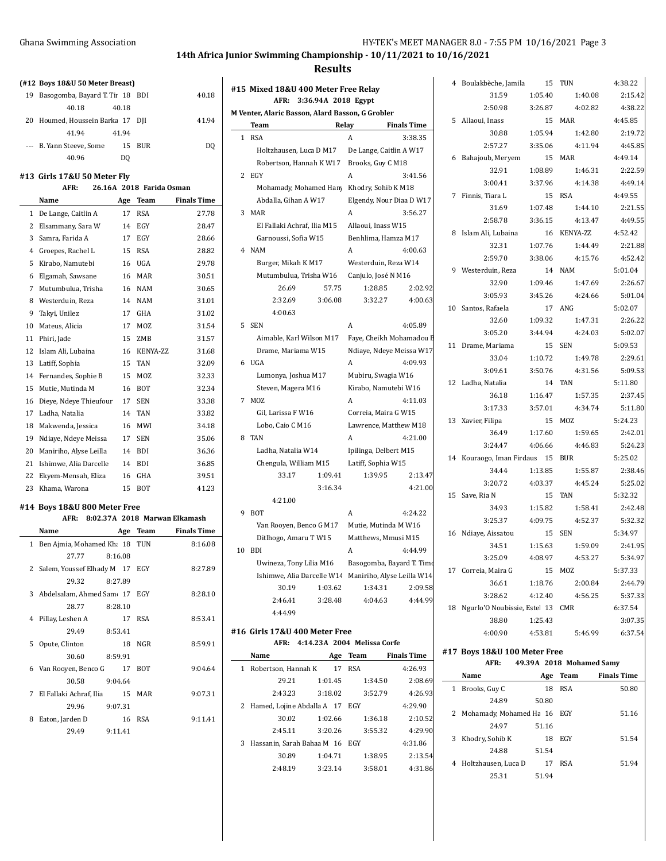**(#12 Boys 18&U 50 Meter Breast)**

### **14th Africa Junior Swimming Championship - 10/11/2021 to 10/16/2021**

#### **Results**

 $\overline{\phantom{a}}$ 

|    | $\pi$ 12 Doys 1000 Jo Mctel Dicasti |             |                    | #15 Mixed 18&U 400 Meter Free Relay                   |         |                                  |                           |                 |
|----|-------------------------------------|-------------|--------------------|-------------------------------------------------------|---------|----------------------------------|---------------------------|-----------------|
|    | 19 Basogomba, Bayard T. Tii 18 BDI  |             | 40.18              | AFR: 3:36.94A 2018 Egypt                              |         |                                  |                           |                 |
|    | 40.18<br>40.18                      |             |                    | M Venter, Alaric Basson, Alard Basson, G Grobler      |         |                                  |                           |                 |
|    | 20 Houmed, Houssein Barka 17 DJI    |             | 41.94              |                                                       |         |                                  |                           | 5/              |
|    | 41.94<br>41.94                      |             |                    | Team                                                  | Relay   |                                  | <b>Finals Time</b>        |                 |
|    | --- B. Yann Steeve, Some            | 15 BUR      | DQ                 | 1 RSA                                                 |         | $\overline{A}$                   | 3:38.35                   |                 |
|    | 40.96<br>DQ                         |             |                    | Holtzhausen, Luca D M17                               |         | De Lange, Caitlin A W17          |                           | 6 E             |
|    |                                     |             |                    | Robertson, Hannah K W17                               |         | Brooks, Guy C M18                |                           |                 |
|    | 13  Girls 17&U 50 Meter Fly         |             |                    | 2 EGY                                                 |         | A                                | 3:41.56                   |                 |
|    | AFR:<br>26.16A 2018 Farida Osman    |             |                    | Mohamady, Mohamed Hany Khodry, Sohib K M18            |         |                                  |                           | 7 F             |
|    | Name                                | Age Team    | <b>Finals Time</b> | Abdalla, Gihan A W17                                  |         | Elgendy, Nour Diaa D W17         |                           |                 |
|    | 1 De Lange, Caitlin A               | 17 RSA      | 27.78              | 3 MAR                                                 |         | A                                | 3:56.27                   |                 |
|    | 2 Elsammany, Sara W                 | 14 EGY      | 28.47              | El Fallaki Achraf, Ilia M15                           |         | Allaoui, Inass W15               |                           |                 |
|    | 3 Samra, Farida A<br>17             | EGY         | 28.66              | Garnoussi, Sofia W15                                  |         | Benhlima, Hamza M17              |                           | 8 I             |
|    | 4 Groepes, Rachel L                 | 15 RSA      | 28.82              | 4 NAM                                                 |         | A                                | 4:00.63                   |                 |
|    | 5 Kirabo, Namutebi                  | 16 UGA      | 29.78              | Burger, Mikah K M17                                   |         | Westerduin, Reza W14             |                           |                 |
| 6  | Elgamah, Sawsane                    | 16 MAR      | 30.51              | Mutumbulua, Trisha W16                                |         | Canjulo, José N M16              |                           | 9 V             |
|    |                                     |             |                    | 26.69                                                 | 57.75   | 1:28.85                          | 2:02.92                   |                 |
|    | 7 Mutumbulua, Trisha                | 16 NAM      | 30.65              |                                                       |         |                                  |                           |                 |
| 8  | Westerduin, Reza                    | 14 NAM      | 31.01              | 2:32.69                                               | 3:06.08 | 3:32.27                          | 4:00.63                   | 10 S            |
| 9  | Takyi, Unilez<br>17                 | GHA         | 31.02              | 4:00.63                                               |         |                                  |                           |                 |
| 10 | Mateus, Alicia<br>17                | MOZ         | 31.54              | 5 SEN                                                 |         | $\boldsymbol{\mathsf{A}}$        | 4:05.89                   |                 |
|    | 11 Phiri, Jade<br>15                | ZMB         | 31.57              | Aimable, Karl Wilson M17                              |         |                                  | Faye, Cheikh Mohamadou E  | 11 <sub>1</sub> |
| 12 | Islam Ali, Lubaina                  | 16 KENYA-ZZ | 31.68              | Drame, Mariama W15                                    |         | Ndiaye, Ndeye Meissa W17         |                           |                 |
|    | 13 Latiff, Sophia                   | 15 TAN      | 32.09              | 6 UGA                                                 |         | A                                | 4:09.93                   |                 |
| 14 | Fernandes, Sophie B                 | 15 MOZ      | 32.33              | Lumonya, Joshua M17                                   |         | Mubiru, Swagia W16               |                           |                 |
| 15 | Mutie, Mutinda M                    | 16 BOT      | 32.34              | Steven, Magera M16                                    |         | Kirabo, Namutebi W16             |                           | 12 L            |
|    | 16 Dieye, Ndeye Thieufour           | 17 SEN      | 33.38              | 7 MOZ                                                 |         | A                                | 4:11.03                   |                 |
|    | 17 Ladha, Natalia                   | 14 TAN      | 33.82              | Gil, Larissa F W16                                    |         | Correia, Maira G W15             |                           |                 |
| 18 | Makwenda, Jessica<br>16             | MWI         | 34.18              | Lobo, Caio C M16                                      |         | Lawrence, Matthew M18            |                           | 13 <sup>2</sup> |
| 19 | Ndiaye, Ndeye Meissa<br>17          | <b>SEN</b>  | 35.06              | 8 TAN                                                 |         | A                                | 4:21.00                   |                 |
|    |                                     |             |                    |                                                       |         | Ipilinga, Delbert M15            |                           |                 |
| 20 | Maniriho, Alyse Leilla<br>14        | <b>BDI</b>  | 36.36              | Ladha, Natalia W14                                    |         |                                  |                           | 14 F            |
|    | 21 Ishimwe, Alia Darcelle           | 14 BDI      | 36.85              | Chengula, William M15                                 |         | Latiff, Sophia W15               |                           |                 |
|    | 22 Ekyem-Mensah, Eliza<br>16        | GHA         | 39.51              | 33.17                                                 | 1:09.41 | 1:39.95                          | 2:13.47                   |                 |
|    | 23 Khama, Warona                    | 15 BOT      | 41.23              |                                                       | 3:16.34 |                                  | 4:21.00                   | 15S             |
|    | 14 Boys 18&U 800 Meter Free         |             |                    | 4:21.00                                               |         |                                  |                           |                 |
|    | AFR: 8:02.37A 2018 Marwan Elkamash  |             |                    | 9 BOT                                                 |         | A                                | 4:24.22                   |                 |
|    | Name                                | Age Team    | <b>Finals Time</b> | Van Rooyen, Benco G M17                               |         | Mutie, Mutinda M W16             |                           |                 |
|    |                                     |             |                    | Ditlhogo, Amaru T W15                                 |         | Matthews, Mmusi M15              |                           | 16 <sup>°</sup> |
|    | 1 Ben Ajmia, Mohamed Kh: 18 TUN     |             | 8:16.08            | 10 BDI                                                |         | A                                | 4.44.99                   |                 |
|    | 27.77<br>8:16.08                    |             |                    | Uwineza, Tony Lilia M16                               |         |                                  | Basogomba, Bayard T. Timo |                 |
|    | 2 Salem, Youssef Elhady M 17 EGY    |             | 8:27.89            | Ishimwe, Alia Darcelle W14 Maniriho, Alyse Leilla W14 |         |                                  |                           | 17 (            |
|    | 29.32<br>8:27.89                    |             |                    | 30.19                                                 | 1:03.62 | 1:34.31                          | 2:09.58                   |                 |
|    | 3 Abdelsalam, Ahmed Sam 17 EGY      |             | 8:28.10            | 2:46.41                                               | 3:28.48 | 4:04.63                          | 4:44.99                   |                 |
|    | 28.77<br>8:28.10                    |             |                    | 4:44.99                                               |         |                                  |                           | 18 N            |
|    | 4 Pillay, Leshen A                  | 17 RSA      | 8:53.41            |                                                       |         |                                  |                           |                 |
|    | 29.49<br>8:53.41                    |             |                    | #16 Girls 17&U 400 Meter Free                         |         |                                  |                           |                 |
|    | 5 Opute, Clinton                    | 18 NGR      | 8:59.91            |                                                       |         | AFR: 4:14.23A 2004 Melissa Corfe |                           |                 |
|    | 30.60<br>8:59.91                    |             |                    | Name                                                  |         | Age Team                         | <b>Finals Time</b>        | #17 E           |
|    | 6 Van Rooyen, Benco G               | 17 BOT      | 9:04.64            | 1 Robertson, Hannah K                                 |         | 17 RSA                           | 4:26.93                   |                 |
|    | 30.58<br>9:04.64                    |             |                    | 29.21                                                 | 1:01.45 | 1:34.50                          | 2:08.69                   |                 |
|    |                                     |             |                    | 2:43.23                                               | 3:18.02 | 3:52.79                          |                           | 1 F             |
|    | 7 El Fallaki Achraf, Ilia           | 15 MAR      | 9:07.31            |                                                       |         |                                  | 4 2 6 9 3                 |                 |
|    | 29.96<br>9:07.31                    |             |                    | 2 Hamed, Lojine Abdalla A 17 EGY                      |         |                                  | 4:29.90                   | 2 N             |
|    | 8 Eaton, Jarden D                   | 16 RSA      | 9:11.41            | 30.02                                                 | 1:02.66 | 1:36.18                          | 2:10.52                   |                 |
|    | 29.49<br>9:11.41                    |             |                    | 2:45.11                                               | 3:20.26 | 3:55.32                          | 4:29.90                   | 3 F             |
|    |                                     |             |                    | 3 Hassanin, Sarah Bahaa M 16 EGY                      |         |                                  | 4:31.86                   |                 |
|    |                                     |             |                    | 30.89                                                 | 1:04.71 | 1:38.95                          | 2:13.54                   |                 |
|    |                                     |             |                    | 2:48.19                                               | 3:23.14 | 3:58.01                          | 4:31.86                   | 4 F             |

|    | 4 Boulakbèche, Jamila 15                     |         | TUN                             | 4:38.22            |
|----|----------------------------------------------|---------|---------------------------------|--------------------|
|    |                                              |         | 31.59 1.05.40 1.40.08           | 2:15.42            |
|    |                                              |         | 2:50.98 3:26.87 4:02.82 4:38.22 |                    |
|    | 5 Allaoui, Inass                             |         | 15 MAR                          | 4:45.85            |
|    |                                              |         | 30.88 1:05.94 1:42.80           | 2:19.72            |
|    |                                              |         | 2:57.27 3:35.06 4:11.94         | 4:45.85            |
| 6  | $2:5:3$<br>Bahajoub, Meryem<br>22.91 1:08.89 | 15 MAR  |                                 | 4:49.14            |
|    |                                              |         | 1:46.31                         | 2:22.59            |
|    | 3:00.41                                      | 3:37.96 | 4:14.38                         | 4:49.14            |
|    | 7 Finnis, Tiara L                            | 15 RSA  |                                 | 4:49.55            |
|    | 31.69                                        | 1:07.48 | 1:44.10                         | 2:21.55            |
|    | 2:58.78 3:36.15                              |         | 4:13.47                         | 4:49.55            |
| 8  | Islam Ali, Lubaina                           |         | 16 KENYA-ZZ                     | 4:52.42            |
|    | 32.31                                        | 1:07.76 | 1:44.49                         | 2:21.88            |
|    |                                              |         | 2:59.70 3:38.06 4:15.76         | 4:52.42            |
|    | 9 Westerduin, Reza                           | 14 NAM  |                                 | 5:01.04            |
|    | 32.90                                        | 1:09.46 | 1:47.69                         | 2:26.67            |
|    | $3:05.93$ $3:45.26$                          |         | 4:24.66                         | 5:01.04            |
|    | 10 Santos, Rafaela                           |         | 17 ANG                          | 5:02.07            |
|    | 32.60                                        | 1:09.32 | 1:47.31                         | 2:26.22            |
|    | 3:05.20                                      | 3:44.94 | 4:24.03                         | 5:02.07            |
|    | 11 Drame, Mariama                            | 15 SEN  |                                 | 5:09.53            |
|    | 33.04                                        | 1:10.72 | 1:49.78                         | 2:29.61            |
|    | 3:09.61                                      | 3:50.76 | 4:31.56                         | 5:09.53            |
|    | 12 Ladha, Natalia                            |         | 14 TAN                          | 5:11.80            |
|    |                                              |         | 36.18   1:16.47   1:57.35       | 2:37.45            |
|    |                                              |         | 3:17.33 3:57.01 4:34.74         | 5:11.80            |
|    | 13 Xavier, Filipa                            |         | 15 MOZ                          | 5:24.23            |
|    | 36.49                                        |         | 1:17.60 1:59.65                 | 2:42.01            |
|    |                                              |         | $3:24.47$ $4:06.66$ $4:46.83$   | 5:24.23            |
|    | 14 Kouraogo, Iman Firdaus 15 BUR             |         |                                 | 5:25.02            |
|    | 34.44                                        | 1:13.85 | 1:55.87                         | 2:38.46            |
|    | 3:20.72                                      | 4:03.37 | 4:45.24                         | 5:25.02            |
|    | 15 Save, Ria N                               |         | 15 TAN                          | 5:32.32            |
|    | 34.93                                        | 1:15.82 | 1:58.41                         | 2:42.48            |
|    | 3:25.37                                      | 4:09.75 | 4:52.37                         | 5:32.32            |
|    | 16 Ndiaye, Aissatou                          | 15 SEN  |                                 | 5:34.97            |
|    | 34.51                                        |         | 1:15.63   1:59.09               | 2:41.95            |
|    |                                              |         | 3:25.09 4:08.97 4:53.27         | 5:34.97            |
|    | 17 Correia, Maira G                          | 15      | MOZ                             | 5:37.33            |
|    | 36.61                                        | 1:18.76 | 2:00.84                         | 2:44.79            |
|    | 3:28.62                                      | 4:12.40 | 4:56.25                         | 5:37.33            |
| 18 | Ngurlo'O Noubissie, Estel 13 CMR             |         |                                 | 6:37.54            |
|    | 38.80                                        | 1:25.43 |                                 | 3:07.35            |
|    | 4:00.90                                      | 4:53.81 | 5:46.99                         | 6:37.54            |
|    | #17 Boys 18&U 100 Meter Free                 |         |                                 |                    |
|    | AFR:                                         |         | 49.39A 2018 Mohamed Samy        |                    |
|    | Name                                         | Age     | Team                            | <b>Finals Time</b> |
| 1  | Brooks, Guy C                                | 18      | <b>RSA</b>                      | 50.80              |

J.

|   | Name                          |       | Age Team   | <b>Finals Time</b> |
|---|-------------------------------|-------|------------|--------------------|
| 1 | Brooks, Guy C                 | 18    | <b>RSA</b> | 50.80              |
|   | 24.89                         | 50.80 |            |                    |
|   | 2 Mohamady, Mohamed Ha 16 EGY |       |            | 51.16              |
|   | 24.97                         | 51.16 |            |                    |
| 3 | Khodry, Sohib K               | 18    | EGY        | 51.54              |
|   | 24.88                         | 51.54 |            |                    |
|   | 4 Holtzhausen, Luca D         | 17    | <b>RSA</b> | 51.94              |
|   | 25.31                         | 51.94 |            |                    |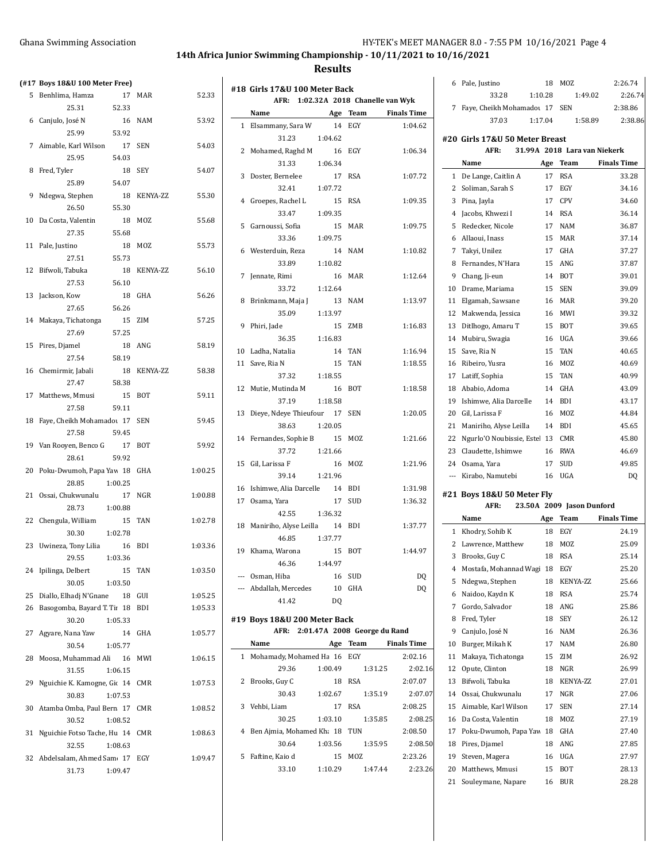# **14th Africa Junior Swimming Championship - 10/11/2021 to 10/16/2021**

|  |  | (#17 Boys 18&U 100 Meter Free) |  |
|--|--|--------------------------------|--|
|  |  |                                |  |

|    | 0 HT / DOYS TORO TOO MELET FIEE                |                       |
|----|------------------------------------------------|-----------------------|
|    | 5 Benhlima, Hamza                              | 17 MAR<br>52.33       |
|    | 52.33<br>25.31                                 |                       |
|    | 6 Canjulo, José N<br>16<br>53.92               | 53.92<br>NAM          |
|    | 25.99<br>7 Aimable, Karl Wilson<br>17          | 54.03<br>SEN          |
|    | 25.95<br>54.03                                 |                       |
|    | 8 Fred, Tyler<br>18                            | 54.07<br>SEY          |
|    | 25.89<br>54.07                                 |                       |
|    | 9 Ndegwa, Stephen<br>18                        | KENYA-ZZ<br>55.30     |
|    | 26.50<br>55.30                                 |                       |
|    | 10 Da Costa, Valentin<br>18                    | 55.68<br>MOZ          |
|    | 27.35<br>55.68                                 |                       |
|    | 11 Pale, Justino<br>18                         | MOZ<br>55.73          |
|    | 55.73<br>27.51                                 |                       |
|    | 12 Bifwoli, Tabuka                             | 18 KENYA-ZZ<br>56.10  |
|    | 56.10<br>27.53                                 |                       |
|    | 13 Jackson, Kow<br>18                          | 56.26<br>GHA          |
|    | 27.65<br>56.26                                 |                       |
|    | 14 Makaya, Tichatonga 15 ZIM                   | 57.25                 |
|    | 27.69<br>57.25                                 |                       |
|    | 15 Pires, Djamel<br>18 ANG                     | 58.19                 |
|    | 27.54<br>58.19                                 |                       |
|    | 16 Chemirmir, Jabali                           | 18 KENYA-ZZ<br>58.38  |
|    | 27.47<br>58.38                                 |                       |
|    | 17 Matthews, Mmusi<br>15                       | BOT<br>59.11          |
|    | 27.58<br>59.11                                 |                       |
|    | 18 Faye, Cheikh Mohamadou 17 SEN               | 59.45                 |
|    | 27.58<br>59.45                                 |                       |
|    | 19 Van Rooyen, Benco G 17                      | 59.92<br>BOT          |
|    | 28.61<br>59.92                                 |                       |
|    | 20 Poku-Dwumoh, Papa Yaw 18                    | 1:00.25<br>GHA        |
|    | 28.85<br>1:00.25                               |                       |
|    | 21 Ossai, Chukwunalu<br>17                     | 1:00.88<br>NGR        |
|    | 28.73<br>1:00.88<br>22 Chengula, William<br>15 | 1:02.78<br><b>TAN</b> |
|    | 30.30<br>1:02.78                               |                       |
|    | 23 Uwineza, Tony Lilia<br>16                   | 1:03.36<br>BDI        |
|    | 29.55<br>1:03.36                               |                       |
|    | 24 Ipilinga, Delbert 15 TAN                    | 1:03.50               |
|    | 30.05<br>1:03.50                               |                       |
| 25 | Diallo, Elhadj N'Gnane 18 GUI                  | 1:05.25               |
|    | 26 Basogomba, Bayard T. Tii 18 BDI             | 1:05.33               |
|    | 30.20<br>1:05.33                               |                       |
| 27 | Agyare, Nana Yaw<br>14                         | GHA<br>1:05.77        |
|    | 30.54<br>1:05.77                               |                       |
| 28 | Moosa, Muhammad Ali 16                         | 1:06.15<br>MWI        |
|    | 31.55<br>1:06.15                               |                       |
| 29 | Nguichie K. Kamogne, Git 14 CMR                | 1:07.53               |
|    | 30.83<br>1:07.53                               |                       |
|    | 30 Atamba Omba, Paul Bern 17 CMR               | 1:08.52               |
|    | 30.52<br>1:08.52                               |                       |
|    | 31 Nguichie Fotso Tache, Hu 14 CMR             | 1:08.63               |
|    | 32.55<br>1:08.63                               |                       |
|    | 32 Abdelsalam, Ahmed Sam 17 EGY                | 1:09.47               |
|    | 1:09.47<br>31.73                               |                       |
|    |                                                |                       |

|    | #18 Girls 17&U 100 Meter Back   |               |                                     |                    |
|----|---------------------------------|---------------|-------------------------------------|--------------------|
|    |                                 |               | AFR: 1:02.32A 2018 Chanelle van Wyk |                    |
|    | Name                            | Age Team      |                                     | <b>Finals Time</b> |
| 1  | Elsammany, Sara W<br>31.23      | 1:04.62       | 14 EGY                              | 1:04.62            |
| 2  | Mohamed, Raghd M                | 16            | EGY                                 | 1:06.34            |
|    | 31.33                           | 1:06.34       |                                     |                    |
| 3  | Doster, Bernelee                | 17            | <b>RSA</b>                          | 1:07.72            |
|    | 32.41                           | 1:07.72       |                                     |                    |
| 4  | Groepes, Rachel L               | 15            | RSA                                 | 1:09.35            |
|    | 33.47                           | 1:09.35       |                                     |                    |
| 5  | Garnoussi, Sofia                | 15            | MAR                                 | 1:09.75            |
|    | 33.36                           | 1:09.75       |                                     |                    |
| 6  | Westerduin, Reza                | 14            | NAM                                 | 1:10.82            |
|    | 33.89                           | 1:10.82       |                                     |                    |
| 7  | Jennate, Rimi                   | 16            | MAR                                 | 1:12.64            |
|    | 33.72                           | 1:12.64       |                                     |                    |
| 8  | Brinkmann, Maja J               | 13            | NAM                                 | 1:13.97            |
|    | 35.09                           | 1:13.97       |                                     |                    |
| 9  | Phiri, Jade                     | 15            | ZMB                                 | 1:16.83            |
|    | 36.35                           | 1:16.83       |                                     |                    |
| 10 | Ladha, Natalia                  | 14            | TAN                                 | 1:16.94            |
| 11 | Save, Ria N                     | 15            | <b>TAN</b>                          | 1:18.55            |
|    | 37.32                           | 1:18.55       |                                     |                    |
| 12 | Mutie, Mutinda M                | 16            | <b>BOT</b>                          | 1:18.58            |
|    | 37.19                           | 1:18.58       |                                     |                    |
| 13 | Dieye, Ndeye Thieufour 17       |               | SEN                                 | 1:20.05            |
|    | 38.63                           | 1:20.05       |                                     |                    |
| 14 | Fernandes, Sophie B 15          |               | MOZ                                 | 1:21.66            |
|    | 37.72                           | 1:21.66       |                                     |                    |
| 15 | Gil, Larissa F                  | 16            | MOZ                                 | 1:21.96            |
|    | 39.14                           | 1:21.96       |                                     |                    |
| 16 | Ishimwe, Alia Darcelle 14       |               | BDI                                 | 1:31.98            |
| 17 | Osama, Yara<br>42.55            | 17<br>1:36.32 | SUD                                 | 1:36.32            |
| 18 | Maniriho, Alyse Leilla 14       |               | BDI                                 | 1:37.77            |
|    | 46.85                           | 1.37.77       |                                     |                    |
| 19 | Khama, Warona                   | 15            | <b>BOT</b>                          | 1:44.97            |
|    | 46.36                           | 1:44.97       |                                     |                    |
|    | --- Osman, Hiba                 | 16            | SUD                                 | DQ                 |
|    | --- Abdallah, Mercedes          | 10            | GHA                                 | DQ                 |
|    | 41.42                           | DQ            |                                     |                    |
|    |                                 |               |                                     |                    |
|    | #19 Boys 18&U 200 Meter Back    |               | AFR: 2:01.47A 2008 George du Rand   |                    |
|    | Name                            |               | Age Team Finals Time                |                    |
| 1  | Mohamady, Mohamed Ha 16 EGY     |               |                                     | 2:02.16            |
|    | 29.36                           | 1:00.49       | 1:31.25                             | 2:02.16            |
| 2  | Brooks, Guy C                   | 18            | RSA                                 | 2:07.07            |
|    | 30.43                           | 1:02.67       | 1:35.19                             | 2:07.07            |
|    | 3 Vehbi, Liam                   |               | 17 RSA                              | 2:08.25            |
|    | 30.25                           | 1:03.10       | 1:35.85                             | 2:08.25            |
|    | 4 Ben Ajmia, Mohamed Kh; 18 TUN |               |                                     | 2:08.50            |
|    | 30.64                           | 1:03.56       | 1:35.95                             | 2:08.50            |
| 5  | Faftine, Kaio d                 |               | 15 MOZ                              | 2:23.26            |
|    | 33.10                           | 1:10.29       | 1:47.44                             | 2:23.26            |
|    |                                 |               |                                     |                    |
|    |                                 |               |                                     |                    |

|   | 6              | Pale, Justino                  | 18 | <b>MOZ</b>                   | 2:26.74            |
|---|----------------|--------------------------------|----|------------------------------|--------------------|
|   |                | 33.28<br>1:10.28               |    | 1:49.02                      | 2:26.74            |
|   | 7              | Faye, Cheikh Mohamadou 17      |    | <b>SEN</b>                   | 2:38.86            |
|   |                | 37.03<br>1:17.04               |    | 1:58.89                      | 2:38.86            |
|   |                |                                |    |                              |                    |
|   |                | #20 Girls 17&U 50 Meter Breast |    |                              |                    |
|   |                | AFR:                           |    | 31.99A 2018 Lara van Niekerk |                    |
|   |                | Name                           |    | Age Team                     | <b>Finals Time</b> |
|   |                | 1 De Lange, Caitlin A          | 17 | <b>RSA</b>                   | 33.28              |
|   | 2              | Soliman, Sarah S               | 17 | EGY                          | 34.16              |
|   | 3              | Pina, Jayla                    | 17 | <b>CPV</b>                   | 34.60              |
|   | 4              | Jacobs, Khwezi I               | 14 | <b>RSA</b>                   | 36.14              |
|   | 5              | Redecker, Nicole               | 17 | <b>NAM</b>                   | 36.87              |
|   |                | 6 Allaoui, Inass               | 15 | MAR                          | 37.14              |
|   | 7              | Takyi, Unilez                  | 17 | GHA                          | 37.27              |
|   | 8              | Fernandes, N'Hara              | 15 | ANG                          | 37.87              |
|   | 9              | Chang, Ji-eun                  |    | 14 BOT                       | 39.01              |
|   | 10             | Drame, Mariama                 | 15 | <b>SEN</b>                   | 39.09              |
|   |                | 11 Elgamah, Sawsane            | 16 | MAR                          | 39.20              |
|   | 12             | Makwenda, Jessica              | 16 | MWI                          | 39.32              |
|   | 13             | Ditlhogo, Amaru T              | 15 | BOT                          | 39.65              |
|   | 14             | Mubiru, Swagia                 | 16 | <b>UGA</b>                   | 39.66              |
|   | 15             | Save, Ria N                    | 15 | <b>TAN</b>                   | 40.65              |
|   |                | 16 Ribeiro, Yusra              | 16 | MOZ                          | 40.69              |
|   |                | 17 Latiff, Sophia              | 15 | <b>TAN</b>                   | 40.99              |
|   |                | 18 Ababio, Adoma               | 14 | GHA                          | 43.09              |
|   |                | 19 Ishimwe, Alia Darcelle      | 14 | <b>BDI</b>                   | 43.17              |
|   | 20             | Gil, Larissa F                 | 16 | MOZ                          | 44.84              |
|   |                | 21 Maniriho, Alyse Leilla      |    | 14 BDI                       | 45.65              |
|   | 22             | Ngurlo'O Noubissie, Estel 13   |    | CMR                          | 45.80              |
|   |                | 23 Claudette, Ishimwe          | 16 | <b>RWA</b>                   | 46.69              |
|   |                | 24 Osama, Yara                 | 17 | SUD                          | 49.85              |
|   |                | --- Kirabo, Namutebi           | 16 | <b>UGA</b>                   | DQ                 |
|   |                |                                |    |                              |                    |
|   |                | #21 Boys 18&U 50 Meter Fly     |    |                              |                    |
|   |                | AFR:                           |    | 23.50A 2009 Jason Dunford    |                    |
|   |                | Name                           |    | Age Team                     | <b>Finals Time</b> |
|   |                | 1 Khodry, Sohib K              | 18 | EGY                          | 24.19              |
|   | $\overline{2}$ | Lawrence, Matthew              | 18 | MOZ                          | 25.09              |
|   | 3              | Brooks, Guy C                  | 18 | <b>RSA</b>                   | 25.14              |
|   | 4              | Mostafa, Mohannad Wagi         | 18 | EGY                          | 25.20              |
|   | 5              | Ndegwa, Stephen                | 18 | KENYA-ZZ                     | 25.66              |
|   | 6              | Naidoo, Kaydn K                | 18 | RSA                          | 25.74              |
|   | 7              | Gordo, Salvador                | 18 | ANG                          | 25.86              |
|   | 8              | Fred, Tyler                    | 18 | SEY                          | 26.12              |
|   | 9              | Canjulo, José N                | 16 | NAM                          | 26.36              |
|   | 10             | Burger, Mikah K                | 17 | <b>NAM</b>                   | 26.80              |
|   | 11             | Makaya, Tichatonga             | 15 | ZIM                          | 26.92              |
| 6 | 12             | Opute, Clinton                 | 18 | NGR                          | 26.99              |
|   | 13             | Bifwoli, Tabuka                | 18 | KENYA-ZZ                     | 27.01              |
| 7 | 14             | Ossai, Chukwunalu              | 17 | NGR                          | 27.06              |
|   | 15             | Aimable, Karl Wilson           | 17 | SEN                          | 27.14              |
| 5 | 16             | Da Costa, Valentin             | 18 | MOZ                          | 27.19              |
|   | 17             | Poku-Dwumoh, Papa Yaw          | 18 | GHA                          | 27.40              |
| 0 | 18             | Pires, Djamel                  | 18 | ANG                          | 27.85              |
|   | 19             | Steven, Magera                 | 16 | UGA                          | 27.97              |
| 6 | 20             | Matthews, Mmusi                | 15 | BOT                          | 28.13              |
|   | 21             | Souleymane, Napare             | 16 | BUR                          | 28.28              |
|   |                |                                |    |                              |                    |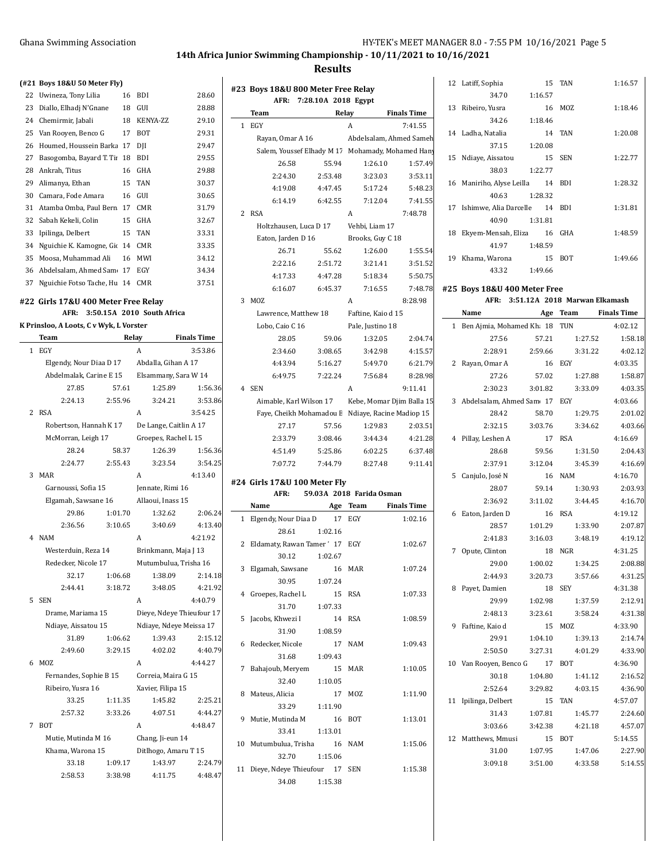$\overline{1}$ 

# **14th Africa Junior Swimming Championship - 10/11/2021 to 10/16/2021**

#### **Results**

|  | $(421$ Boys 18&U 50 Meter Fly |  |
|--|-------------------------------|--|
|  |                               |  |

| 22 | Uwineza, Tony Lilia         | 16 | <b>BDI</b>      | 28.60 |
|----|-----------------------------|----|-----------------|-------|
| 23 | Diallo, Elhadj N'Gnane      | 18 | GUI             | 28.88 |
| 24 | Chemirmir, Jabali           | 18 | <b>KENYA-ZZ</b> | 29.10 |
| 25 | Van Rooyen, Benco G         | 17 | <b>BOT</b>      | 29.31 |
| 26 | Houmed, Houssein Barka      | 17 | DII             | 29.47 |
| 27 | Basogomba, Bayard T. Tii    | 18 | BDI             | 29.55 |
| 28 | Ankrah, Titus               | 16 | GHA             | 29.88 |
| 29 | Alimanya, Ethan             | 15 | <b>TAN</b>      | 30.37 |
| 30 | Camara, Fode Amara          | 16 | GUI             | 30.65 |
| 31 | Atamba Omba, Paul Bern      | 17 | <b>CMR</b>      | 31.79 |
| 32 | Sabah Kekeli, Colin         | 15 | GHA             | 32.67 |
| 33 | Ipilinga, Delbert           | 15 | <b>TAN</b>      | 33.31 |
| 34 | Nguichie K. Kamogne, Gio    | 14 | <b>CMR</b>      | 33.35 |
| 35 | Moosa, Muhammad Ali         | 16 | MWI             | 34.12 |
| 36 | Abdelsalam, Ahmed Sam       | 17 | EGY             | 34.34 |
| 37 | Nguichie Fotso Tache, Hu 14 |    | <b>CMR</b>      | 37.51 |

#### **#22 Girls 17&U 400 Meter Free Relay**

**AFR: 3:50.15A 2010 South Africa**

# **K Prinsloo, A Loots, C v Wyk, L Vorster**

|   | Team                      | Relay   |                                 | <b>Finals Time</b> |
|---|---------------------------|---------|---------------------------------|--------------------|
| 1 | EGY                       |         | A                               | 3:53.86            |
|   | Elgendy, Nour Diaa D 17   |         | Abdalla, Gihan A 17             |                    |
|   | Abdelmalak, Carine E 15   |         | Elsammany, Sara W 14            |                    |
|   | 27.85                     | 57.61   | 1:25.89                         | 1:56.36            |
|   | 2:24.13                   | 2:55.96 | 3:24.21                         | 3:53.86            |
| 2 | <b>RSA</b>                |         | A                               | 3:54.25            |
|   | Robertson, Hannah K 17    |         | De Lange, Caitlin A 17          |                    |
|   | McMorran, Leigh 17        |         | Groepes, Rachel L 15            |                    |
|   | 28.24                     | 58.37   | 1:26.39                         | 1:56.36            |
|   | 2:24.77                   | 2:55.43 | 3:23.54                         | 3:54.25            |
| 3 | MAR                       |         | A                               | 4:13.40            |
|   | Garnoussi, Sofia 15       |         | Jennate, Rimi 16                |                    |
|   | Elgamah, Sawsane 16       |         | Allaoui, Inass 15               |                    |
|   | 29.86                     | 1:01.70 | 1:32.62                         | 2:06.24            |
|   | 2:36.56                   | 3:10.65 | 3:40.69                         | 4:13.40            |
| 4 | <b>NAM</b>                |         | A                               | 4:21.92            |
|   | Westerduin, Reza 14       |         | Brinkmann, Maja J 13            |                    |
|   | Redecker, Nicole 17       |         | Mutumbulua, Trisha 16           |                    |
|   | 32.17                     | 1:06.68 | 1:38.09                         | 2:14.18            |
|   | 2:44.41                   | 3:18.72 | 3:48.05                         | 4:21.92            |
| 5 | <b>SEN</b>                |         | Α                               | 4:40.79            |
|   | Drame, Mariama 15         |         | Dieye, Ndeye Thieufour 17       |                    |
|   | Ndiaye, Aissatou 15       |         | Ndiaye, Ndeye Meissa 17         |                    |
|   | 31.89                     | 1:06.62 | 1:39.43                         | 2:15.12            |
|   | 2:49.60                   | 3:29.15 | 4:02.02                         | 4:40.79            |
| 6 | M07.                      |         | A                               | 4:44.27            |
|   | Fernandes, Sophie B 15    |         | Correia, Maira G 15             |                    |
|   | Ribeiro, Yusra 16         |         | Xavier, Filipa 15               |                    |
|   | 33.25                     | 1:11.35 | 1:45.82                         | 2:25.21            |
|   | 2:57.32                   | 3:33.26 | 4:07.51                         | 4:44.27            |
| 7 | <b>BOT</b>                |         | A                               | 4:48.47            |
|   | Mutie, Mutinda M 16       |         | Chang, Ji-eun 14                |                    |
|   | Khama, Warona 15<br>33.18 | 1:09.17 | Ditlhogo, Amaru T 15<br>1:43.97 | 2:24.79            |
|   | 2:58.53                   | 3:38.98 | 4:11.75                         | 4:48.47            |

|                | #23 Boys 18&U 800 Meter Free Relay |                     |            |                                                   |    |
|----------------|------------------------------------|---------------------|------------|---------------------------------------------------|----|
|                | AFR:                               | 7:28.10A 2018 Egypt |            |                                                   | 1  |
|                | Team                               | Relay               |            | <b>Finals Time</b>                                |    |
| 1              | EGY                                |                     | A          | 7:41.55                                           | 1  |
|                | Rayan, Omar A 16                   |                     |            | Abdelsalam, Ahmed Sameh                           |    |
|                |                                    |                     |            | Salem, Youssef Elhady M 17 Mohamady, Mohamed Hany | 1  |
|                | 26.58                              | 55.94               |            | 1:26.10<br>1:57.49                                |    |
|                | 2:24.30                            | 2:53.48             |            | 3:23.03<br>3:53.11                                |    |
|                | 4.19.08                            | 4:47.45             |            | 5:17.24<br>5:48.23                                | 1  |
|                | 6:14.19                            | 6:42.55             |            | 7:41.55<br>7:12.04                                |    |
| 2              | <b>RSA</b>                         |                     | A          | 7:48.78                                           | 1  |
|                | Holtzhausen, Luca D 17             |                     |            | Vehbi, Liam 17                                    |    |
|                | Eaton, Jarden D 16                 |                     |            | Brooks, Guy C 18                                  | 1  |
|                | 26.71                              | 55.62               |            | 1:26.00<br>1:55.54                                |    |
|                | 2:22.16                            | 2:51.72             |            | 3:21.41<br>3:51.52                                | 1  |
|                | 4:17.33                            | 4:47.28             |            | 5:18.34<br>5:50.75                                |    |
|                | 6:16.07                            | 6:45.37             |            | 7:16.55<br>7:48.78                                | #2 |
| 3              | MOZ                                |                     | A          | 8:28.98                                           |    |
|                | Lawrence, Matthew 18               |                     |            | Faftine, Kaio d 15                                |    |
|                | Lobo, Caio C 16                    |                     |            | Pale, Justino 18                                  |    |
|                | 28.05                              | 59.06               |            | 1:32.05<br>2:04.74                                |    |
|                | 2:34.60                            | 3:08.65             |            | 3:42.98<br>4:15.57                                |    |
|                | 4:43.94                            | 5:16.27             |            | 5:49.70<br>6:21.79                                |    |
|                | 6:49.75                            | 7:22.24             |            | 8:28.98<br>7:56.84                                |    |
| $\overline{4}$ | <b>SEN</b>                         |                     | A          | 9:11.41                                           |    |
|                |                                    |                     |            | Aimable, Karl Wilson 17 Kebe, Momar Djim Balla 15 |    |
|                |                                    |                     |            | Faye, Cheikh Mohamadou E Ndiaye, Racine Madiop 15 |    |
|                | 27.17                              | 57.56               |            | 1:29.83<br>2:03.51                                |    |
|                | 2:33.79                            | 3:08.46             |            | 3:44.34<br>4:21.28                                |    |
|                | 4:51.49                            | 5:25.86             |            | 6:02.25<br>6:37.48                                |    |
|                | 7:07.72                            | 7:44.79             |            | 8:27.48<br>9:11.41                                |    |
|                |                                    |                     |            |                                                   |    |
|                | #24 Girls 17&U 100 Meter Fly       |                     |            |                                                   |    |
|                | AFR:                               |                     |            | 59.03A 2018 Farida Osman                          |    |
|                | Name                               | Age                 | Team       | <b>Finals Time</b>                                |    |
| 1              | Elgendy, Nour Diaa D               | 17                  | EGY        | 1:02.16                                           |    |
|                | 28.61                              | 1:02.16             |            |                                                   |    |
| 2              | Eldamaty, Rawan Tamer ' 17         |                     | EGY        | 1:02.67                                           |    |
|                | 30.12                              | 1:02.67             |            |                                                   |    |
| 3              | Elgamah, Sawsane                   | 16                  | MAR        | 1:07.24                                           |    |
|                | 30.95                              | 1:07.24             |            |                                                   |    |
| 4              | Groepes, Rachel L                  | 15                  | RSA        | 1:07.33                                           |    |
|                | 31.70                              | 1:07.33             |            |                                                   |    |
| 5              | Jacobs, Khwezi I                   | 14                  | <b>RSA</b> | 1:08.59                                           |    |
|                | 31.90                              | 1:08.59             |            |                                                   |    |
| 6              | Redecker, Nicole                   | 17                  | <b>NAM</b> | 1:09.43                                           |    |
|                | 31.68                              | 1:09.43             |            |                                                   | 1  |
| 7              | Bahajoub, Meryem                   | 15                  | MAR        | 1:10.05                                           |    |
|                | 32.40                              | 1:10.05             |            |                                                   |    |
| 8              | Mateus, Alicia                     | 17                  | MOZ        | 1:11.90                                           | 1  |
|                | 33.29                              | 1:11.90             |            |                                                   |    |
| 9              | Mutie, Mutinda M                   | 16                  | BOT        | 1:13.01                                           |    |
|                | 33.41                              | 1:13.01             |            |                                                   | 1  |
|                | 10 Mutumbulua, Trisha 16           |                     | NAM        | 1:15.06                                           |    |
|                | 32.70                              | 1:15.06             |            |                                                   |    |
| 11             | Dieye, Ndeye Thieufour 17 SEN      |                     |            | 1:15.38                                           |    |
|                | 34.08                              | 1:15.38             |            |                                                   |    |
|                |                                    |                     |            |                                                   |    |

|    | 12 Latiff, Sophia                | $15 -$   | <b>TAN</b>                         | 1:16.57            |
|----|----------------------------------|----------|------------------------------------|--------------------|
|    | 34.70                            | 1:16.57  |                                    |                    |
| 13 | Ribeiro, Yusra                   | 16       | MOZ                                | 1:18.46            |
|    | 34.26                            | 1:18.46  |                                    |                    |
|    | 14 Ladha, Natalia                | 14       | <b>TAN</b>                         | 1:20.08            |
|    | 37.15                            | 1:20.08  |                                    |                    |
| 15 | Ndiaye, Aissatou                 | 15       | <b>SEN</b>                         | 1:22.77            |
|    | 38.03                            | 1:22.77  |                                    |                    |
|    | 16 Maniriho, Alyse Leilla 14 BDI |          |                                    | 1:28.32            |
|    | 40.63                            | 1:28.32  |                                    |                    |
| 17 | Ishimwe, Alia Darcelle 14 BDI    |          |                                    | 1:31.81            |
|    | 40.90                            | 1:31.81  |                                    |                    |
| 18 | Ekyem-Mensah, Eliza              |          | 16 GHA                             | 1:48.59            |
|    | 41.97                            | 1:48.59  |                                    |                    |
|    | 19 Khama, Warona                 | 15       | <b>BOT</b>                         | 1:49.66            |
|    | 43.32                            | 1:49.66  |                                    |                    |
|    | #25 Boys 18&U 400 Meter Free     |          |                                    |                    |
|    |                                  |          | AFR: 3:51.12A 2018 Marwan Elkamash |                    |
|    | Name                             | Age Team |                                    | <b>Finals Time</b> |
|    | 1 Ben Ajmia, Mohamed Kh; 18 TUN  |          |                                    | 4:02.12            |
|    | 27.56                            |          | 57.21 1:27.52                      | 1:58.18            |
|    | 2:28.91                          |          | 2:59.66 3:31.22                    | 4:02.12            |
|    | 2 Rayan, Omar A                  |          | 16 EGY                             | 4:03.35            |
|    | 27.26                            |          | 57.02 1:27.88                      | 1:58.87            |
|    | 2:30.23                          |          | 3:01.82 3:33.09                    | 4:03.35            |
|    | 3 Abdelsalam, Ahmed Sam 17 EGY   |          |                                    | 4:03.66            |
|    | 28.42                            | 58.70    | 1:29.75                            | 2:01.02            |
|    | 2:32.15                          | 3:03.76  | 3:34.62                            | 4:03.66            |

|    | 28.68               | 59.56   | 1:31.50    | 2:04.43 |
|----|---------------------|---------|------------|---------|
|    | 2:37.91             | 3:12.04 | 3:45.39    | 4:16.69 |
| 5  | Canjulo, José N     | 16      | <b>NAM</b> | 4:16.70 |
|    | 28.07               | 59.14   | 1:30.93    | 2:03.93 |
|    | 2:36.92             | 3:11.02 | 3:44.45    | 4:16.70 |
| 6  | Eaton, Jarden D     | 16      | <b>RSA</b> | 4:19.12 |
|    | 28.57               | 1:01.29 | 1:33.90    | 2:07.87 |
|    | 2:41.83             | 3:16.03 | 3:48.19    | 4:19.12 |
| 7  | Opute, Clinton      | 18      | NGR        | 4:31.25 |
|    | 29.00               | 1:00.02 | 1:34.25    | 2:08.88 |
|    | 2:44.93             | 3:20.73 | 3:57.66    | 4:31.25 |
| 8  | Payet, Damien       | 18      | <b>SEY</b> | 4:31.38 |
|    | 29.99               | 1:02.98 | 1:37.59    | 2:12.91 |
|    | 2:48.13             | 3:23.61 | 3:58.24    | 4:31.38 |
| 9  | Faftine, Kaio d     | 15      | MOZ        | 4:33.90 |
|    | 29.91               | 1:04.10 | 1:39.13    | 2:14.74 |
|    | 2:50.50             | 3:27.31 | 4:01.29    | 4:33.90 |
| 10 | Van Rooyen, Benco G | 17      | <b>BOT</b> | 4:36.90 |
|    | 30.18               | 1:04.80 | 1:41.12    | 2:16.52 |
|    | 2:52.64             | 3:29.82 | 4:03.15    | 4:36.90 |
| 11 | Ipilinga, Delbert   | 15      | <b>TAN</b> | 4:57.07 |
|    | 31.43               | 1:07.81 | 1:45.77    | 2:24.60 |
|    | 3:03.66             | 3:42.38 | 4:21.18    | 4:57.07 |
| 12 | Matthews, Mmusi     | 15      | <b>BOT</b> | 5:14.55 |
|    | 31.00               | 1:07.95 | 1:47.06    | 2:27.90 |

3:09.18 3:51.00 4:33.58 5:14.55

4 Pillay, Leshen A 17 RSA 4:16.69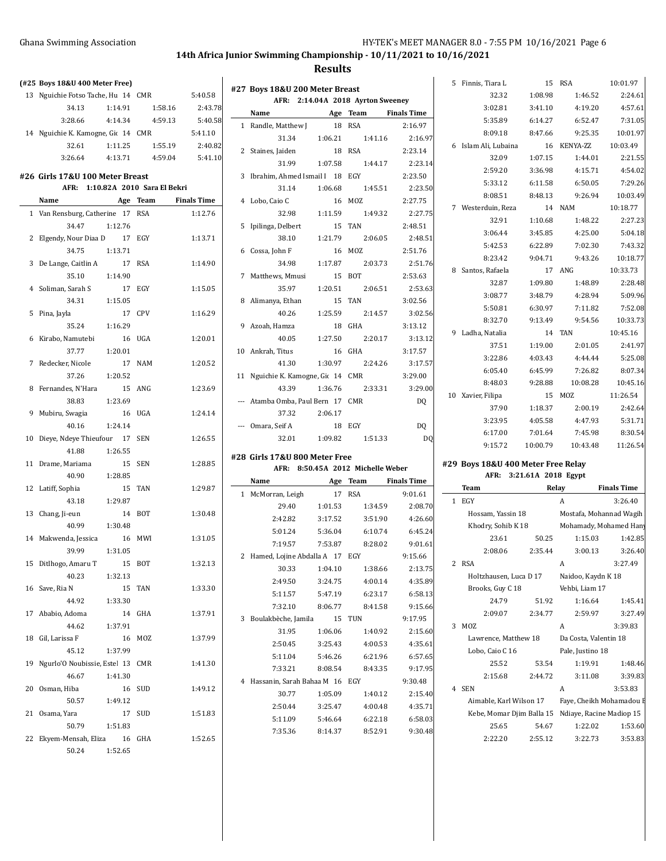# **14th Africa Junior Swimming Championship - 10/11/2021 to 10/16/2021**

| (#25 Boys 18&U 400 Meter Free)                                      |         |          |                    | #27 Boys 18&U 200 Meter Breast     |         |                                   |                    | 5 Finnis, Tiara L                                  |          | 15 RSA                | 10:01.97                 |
|---------------------------------------------------------------------|---------|----------|--------------------|------------------------------------|---------|-----------------------------------|--------------------|----------------------------------------------------|----------|-----------------------|--------------------------|
| 13 Nguichie Fotso Tache, Hu 14 CMR                                  |         |          | 5:40.58            |                                    |         | AFR: 2:14.04A 2018 Ayrton Sweeney |                    | 32.32                                              | 1:08.98  | 1:46.52               | 2:24.61                  |
| 34.13                                                               | 1:14.91 | 1:58.16  | 2:43.78            | Name                               |         | Age Team                          | <b>Finals Time</b> | 3:02.81                                            | 3:41.10  | 4:19.20               | 4:57.61                  |
| 3:28.66                                                             | 4:14.34 | 4:59.13  | 5:40.58            | 1 Randle, Matthew J                |         | 18 RSA                            | 2:16.97            | 5:35.89                                            | 6:14.27  | 6:52.47               | 7:31.05                  |
| 14 Nguichie K. Kamogne, Gic 14 CMR                                  |         |          | 5:41.10            | 31.34                              | 1:06.21 | 1:41.16                           | 2:16.97            | 8:09.18                                            | 8:47.66  | 9:25.35               | 10:01.97                 |
| 32.61                                                               | 1:11.25 | 1:55.19  | 2:40.82            | 2 Staines, Jaiden                  |         | 18 RSA                            | 2:23.14            | 6 Islam Ali, Lubaina                               |          | 16 KENYA-ZZ           | 10:03.49                 |
| 3:26.64                                                             | 4:13.71 | 4:59.04  | 5:41.10            | 31.99                              | 1:07.58 | 1:44.17                           | 2:23.14            | 32.09                                              | 1:07.15  | 1:44.01               | 2:21.55                  |
|                                                                     |         |          |                    | 3 Ibrahim, Ahmed Ismail I 18 EGY   |         |                                   | 2:23.50            | 2:59.20                                            | 3:36.98  | 4:15.71               | 4:54.02                  |
| #26 Girls 17&U 100 Meter Breast<br>AFR: 1:10.82A 2010 Sara El Bekri |         |          |                    | 31.14                              | 1:06.68 | 1:45.51                           | 2:23.50            | 5:33.12                                            | 6:11.58  | 6:50.05               | 7:29.26                  |
| Name                                                                |         | Age Team | <b>Finals Time</b> | 4 Lobo, Caio C                     |         | 16 MOZ                            | 2:27.75            | 8:08.51                                            | 8:48.13  | 9:26.94               | 10:03.49                 |
|                                                                     |         |          |                    | 32.98                              |         | 1:49.32                           |                    | 7 Westerduin, Reza                                 |          | 14 NAM                | 10:18.77                 |
| 1 Van Rensburg, Catherine 17 RSA                                    |         |          | 1:12.76            |                                    | 1:11.59 |                                   | 2:27.75            | 32.91                                              | 1:10.68  | 1:48.22               | 2:27.23                  |
| 34.47                                                               | 1:12.76 |          |                    | 5 Ipilinga, Delbert                |         | 15 TAN                            | 2:48.51            | 3:06.44                                            | 3:45.85  | 4:25.00               | 5:04.18                  |
| 2 Elgendy, Nour Diaa D                                              |         | 17 EGY   | 1:13.71            | 38.10                              | 1:21.79 | 2:06.05                           | 2:48.51            | 5:42.53                                            | 6:22.89  | 7:02.30               | 7:43.32                  |
| 34.75                                                               | 1:13.71 |          |                    | 6 Cossa, John F                    |         | 16 MOZ                            | 2:51.76            | 8:23.42                                            | 9:04.71  | 9:43.26               | 10:18.77                 |
| 3 De Lange, Caitlin A                                               |         | 17 RSA   | 1:14.90            | 34.98                              | 1:17.87 | 2:03.73                           | 2:51.76            | 8 Santos, Rafaela                                  |          | 17 ANG                | 10:33.73                 |
| 35.10                                                               | 1:14.90 |          |                    | 7 Matthews, Mmusi                  |         | 15 BOT                            | 2:53.63            | 32.87                                              | 1:09.80  | 1:48.89               | 2:28.48                  |
| 4 Soliman, Sarah S                                                  |         | 17 EGY   | 1:15.05            | 35.97                              | 1:20.51 | 2:06.51                           | 2:53.63            | 3:08.77                                            | 3:48.79  | 4:28.94               | 5:09.96                  |
| 34.31                                                               | 1:15.05 |          |                    | 8 Alimanya, Ethan                  |         | 15 TAN                            | 3:02.56            | 5:50.81                                            | 6:30.97  | 7:11.82               | 7:52.08                  |
| 5 Pina, Jayla                                                       |         | 17 CPV   | 1:16.29            | 40.26                              | 1:25.59 | 2:14.57                           | 3:02.56            | 8:32.70                                            | 9:13.49  | 9:54.56               | 10:33.73                 |
| 35.24                                                               | 1:16.29 |          |                    | 9 Azoah, Hamza                     |         | 18 GHA                            | 3:13.12            | 9 Ladha, Natalia                                   |          | 14 TAN                | 10:45.16                 |
| 6 Kirabo, Namutebi                                                  |         | 16 UGA   | 1:20.01            | 40.05                              | 1:27.50 | 2:20.17                           | 3:13.12            | 37.51                                              | 1:19.00  | 2:01.05               | 2:41.97                  |
| 37.77                                                               | 1:20.01 |          |                    | 10 Ankrah, Titus                   |         | 16 GHA                            | 3:17.57            | 3:22.86                                            | 4:03.43  | 4:44.44               | 5:25.08                  |
| 7 Redecker, Nicole                                                  |         | 17 NAM   | 1:20.52            | 41.30                              | 1:30.97 | 2:24.26                           | 3:17.57            | 6:05.40                                            | 6:45.99  | 7:26.82               | 8:07.34                  |
| 37.26                                                               | 1:20.52 |          |                    | 11 Nguichie K. Kamogne, Gic 14 CMR |         |                                   | 3:29.00            | 8:48.03                                            | 9:28.88  | 10:08.28              | 10:45.16                 |
| 8 Fernandes, N'Hara                                                 |         | 15 ANG   | 1:23.69            | 43.39                              | 1:36.76 | 2:33.31                           | 3:29.00            |                                                    |          | 15 MOZ                | 11:26.54                 |
| 38.83                                                               | 1:23.69 |          |                    | --- Atamba Omba, Paul Bern 17 CMR  |         |                                   | DQ.                | 10 Xavier, Filipa<br>37.90                         | 1:18.37  | 2:00.19               | 2:42.64                  |
| 9 Mubiru, Swagia                                                    |         | 16 UGA   | 1:24.14            | 37.32                              | 2:06.17 |                                   |                    |                                                    |          |                       |                          |
| 40.16                                                               | 1:24.14 |          |                    | --- Omara, Seif A                  |         | 18 EGY                            | DQ                 | 3:23.95                                            | 4:05.58  | 4:47.93               | 5:31.71                  |
| 10 Dieye, Ndeye Thieufour 17 SEN                                    |         |          | 1:26.55            | 32.01                              | 1:09.82 | 1:51.33                           | D <sub>O</sub>     | 6:17.00                                            | 7:01.64  | 7:45.98               | 8:30.54                  |
| 41.88                                                               | 1:26.55 |          |                    | #28 Girls 17&U 800 Meter Free      |         |                                   |                    | 9:15.72                                            | 10:00.79 | 10:43.48              | 11:26.54                 |
| 11 Drame, Mariama                                                   |         | 15 SEN   | 1:28.85            |                                    |         | AFR: 8:50.45A 2012 Michelle Weber |                    | #29 Boys 18&U 400 Meter Free Relay                 |          |                       |                          |
| 40.90                                                               | 1:28.85 |          |                    | Name                               |         | Age Team                          | <b>Finals Time</b> | AFR: 3:21.61A 2018 Egypt                           |          |                       |                          |
| 12 Latiff, Sophia                                                   |         | 15 TAN   | 1:29.87            | 1 McMorran, Leigh                  |         | 17 RSA                            | 9:01.61            | Team                                               | Relay    |                       | <b>Finals Time</b>       |
| 43.18                                                               | 1:29.87 |          |                    | 29.40                              | 1:01.53 | 1:34.59                           | 2:08.70            | 1 EGY                                              |          | $\mathbf{A}$          | 3:26.40                  |
| 13 Chang, Ji-eun                                                    |         | 14 BOT   | 1:30.48            | 2:42.82                            | 3:17.52 | 3:51.90                           | 4:26.60            | Hossam, Yassin 18                                  |          |                       | Mostafa, Mohannad Wagih  |
| 40.99                                                               | 1:30.48 |          |                    | 5:01.24                            | 5:36.04 | 6:10.74                           | 6:45.24            | Khodry, Sohib K 18                                 |          |                       | Mohamady, Mohamed Hany   |
| 14 Makwenda, Jessica                                                |         | 16 MWI   | 1:31.05            |                                    |         |                                   |                    | 23.61                                              | 50.25    | 1:15.03               | 1:42.85                  |
| 39.99                                                               | 1:31.05 |          |                    | 7:19.57                            | 7:53.87 | 8:28.02                           | 9:01.61            | 2:08.06                                            | 2:35.44  | 3:00.13               | 3:26.40                  |
| 15 Ditlhogo, Amaru T                                                |         | 15 BOT   | 1:32.13            | 2 Hamed, Lojine Abdalla A 17 EGY   |         |                                   | 9:15.66            | 2 RSA                                              |          | A                     | 3:27.49                  |
| 40.23                                                               | 1:32.13 |          |                    | 30.33                              | 1:04.10 | 1:38.66                           | 2:13.75            | Holtzhausen, Luca D 17                             |          | Naidoo, Kaydn K 18    |                          |
| 16 Save, Ria N                                                      |         | 15 TAN   | 1:33.30            | 2:49.50                            | 3:24.75 | 4:00.14                           | 4:35.89            | Brooks, Guy C 18                                   |          | Vehbi, Liam 17        |                          |
| 44.92                                                               | 1:33.30 |          |                    | 5:11.57                            | 5:47.19 | 6:23.17                           | 6:58.13            | 24.79                                              | 51.92    | 1:16.64               | 1:45.41                  |
| 17 Ababio, Adoma                                                    |         | 14 GHA   | 1:37.91            | 7:32.10                            | 8:06.77 | 8:41.58                           | 9:15.66            | 2:09.07                                            | 2:34.77  | 2:59.97               | 3:27.49                  |
| 44.62                                                               | 1:37.91 |          |                    | 3 Boulakbèche, Jamila              |         | 15 TUN                            | 9:17.95            | 3 MOZ                                              |          | A                     | 3:39.83                  |
| 18 Gil, Larissa F                                                   |         | 16 MOZ   | 1:37.99            | 31.95                              | 1:06.06 | 1:40.92                           | 2:15.60            | Lawrence, Matthew 18                               |          | Da Costa, Valentin 18 |                          |
| 45.12                                                               | 1:37.99 |          |                    | 2:50.45                            | 3:25.43 | 4:00.53                           | 4:35.61            | Lobo, Caio C 16                                    |          | Pale, Justino 18      |                          |
| 19 Ngurlo'O Noubissie, Este 13 CMR                                  |         |          | 1:41.30            | 5:11.04                            | 5:46.26 | 6:21.96                           | 6:57.65            | 25.52                                              | 53.54    | 1:19.91               | 1:48.46                  |
|                                                                     | 1:41.30 |          |                    | 7 33 21                            | 8:08.54 | 8:43.35                           | 9:17.95            | 2:15.68                                            | 2:44.72  | 3:11.08               | 3:39.83                  |
|                                                                     |         |          |                    | 4 Hassanin, Sarah Bahaa M 16 EGY   |         |                                   | 9:30.48            | 4 SEN                                              |          |                       | 3:53.83                  |
| 46.67                                                               |         |          |                    |                                    |         |                                   |                    |                                                    |          |                       |                          |
| 20 Osman, Hiba                                                      |         | 16 SUD   | 1:49.12            | 30.77                              | 1:05.09 | 1:40.12                           | 2:15.40            |                                                    |          | A                     |                          |
| 50.57                                                               | 1:49.12 |          |                    | 2:50.44                            | 3:25.47 | 4:00.48                           | 4:35.71            | Aimable, Karl Wilson 17                            |          |                       | Faye, Cheikh Mohamadou E |
| 21 Osama, Yara                                                      |         | 17 SUD   | 1:51.83            | 5:11.09                            | 5:46.64 | 6:22.18                           | 6:58.03            | Kebe, Momar Djim Balla 15 Ndiaye, Racine Madiop 15 |          |                       |                          |
| 50.79                                                               | 1:51.83 |          |                    | 7:35.36                            | 8:14.37 | 8:52.91                           | 9:30.48            | 25.65                                              | 54.67    | 1:22.02               | 1:53.60                  |
| 22 Ekyem-Mensah, Eliza                                              |         | 16 GHA   | 1:52.65            |                                    |         |                                   |                    | 2:22.20                                            | 2:55.12  | 3:22.73               | 3:53.83                  |
| 50.24                                                               | 1:52.65 |          |                    |                                    |         |                                   |                    |                                                    |          |                       |                          |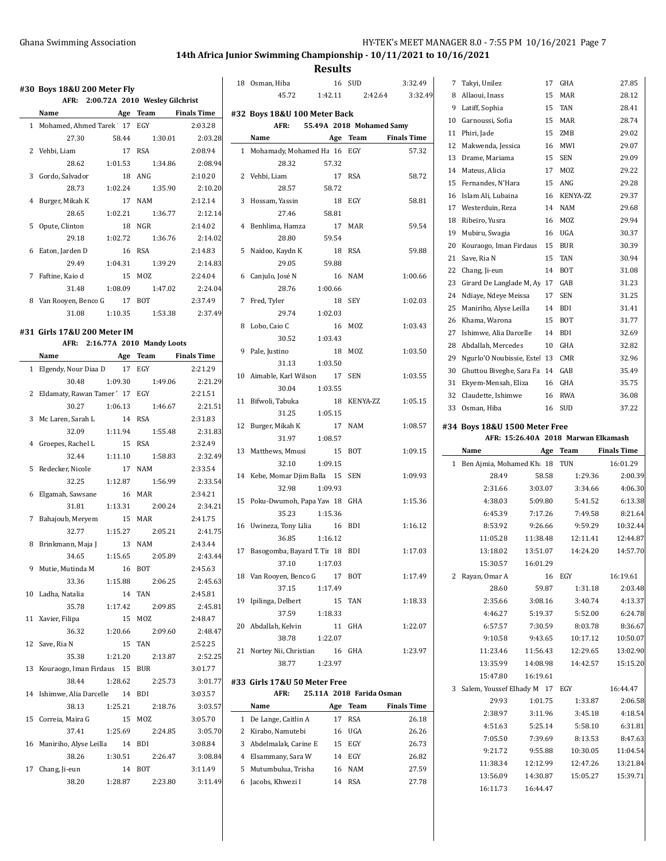# **14th Africa Junior Swimming Championship - 10/11/2021 to 10/16/2021**

|    | Name                             |         |                                |         |
|----|----------------------------------|---------|--------------------------------|---------|
|    | 1 Mohamed, Ahmed Tarek 17 EGY    |         | Age Team Finals Time           | 2:03.28 |
|    | 27.30                            | 58.44   | 1:30.01                        | 2:03.28 |
| 2  |                                  |         | 17 RSA                         | 2:08.94 |
|    | Vehbi, Liam<br>28.62             | 1:01.53 | 1:34.86                        | 2:08.94 |
| 3  | Gordo, Salvador                  |         | 18 ANG                         | 2:10.20 |
|    | 28.73                            | 1:02.24 | 1:35.90                        | 2:10.20 |
| 4  | Burger, Mikah K                  |         | 17 NAM                         | 2:12.14 |
|    | 28.65                            | 1:02.21 | 1:36.77                        | 2:12.14 |
| 5  | Opute, Clinton                   |         | 18 NGR                         | 2:14.02 |
|    | 29.18                            | 1:02.72 | 1:36.76                        | 2:14.02 |
| 6  | Eaton, Jarden D                  | 16      | RSA                            | 2:14.83 |
|    | 29.49                            | 1:04.31 | 1:39.29                        | 2:14.83 |
| 7  | Faftine, Kaio d                  | 15      | MOZ                            | 2:24.04 |
|    | 31.48                            | 1:08.09 | 1:47.02                        | 2:24.04 |
| 8  | Van Rooyen, Benco G 17 BOT       |         |                                | 2:37.49 |
|    | 31.08                            | 1:10.35 | 1:53.38                        | 2:37.49 |
|    |                                  |         |                                |         |
|    | #31 Girls 17&U 200 Meter IM      |         |                                |         |
|    |                                  |         | AFR: 2:16.77A 2010 Mandy Loots |         |
|    | Name                             |         | Age Team Finals Time           |         |
| 1  | Elgendy, Nour Diaa D 17 EGY      |         |                                | 2:21.29 |
|    | 30.48                            | 1:09.30 | 1:49.06                        | 2:21.29 |
| 2  | Eldamaty, Rawan Tamer 17 EGY     |         |                                | 2:21.51 |
|    | 30.27                            | 1:06.13 | 1:46.67                        | 2:21.51 |
| 3  | Mc Laren, Sarah L                | 14      | <b>RSA</b>                     | 2:31.83 |
|    | 32.09                            | 1:11.94 | 1:55.48                        | 2:31.83 |
| 4  | Groepes, Rachel L                | 15      | <b>RSA</b>                     | 2:32.49 |
|    | 32.44                            | 1:11.10 | 1:58.83                        | 2:32.49 |
| 5  | Redecker, Nicole                 | 17      | NAM                            | 2:33.54 |
|    | 32.25                            | 1:12.87 | 1:56.99                        | 2:33.54 |
| 6  | Elgamah, Sawsane                 | 16      | MAR                            | 2:34.21 |
|    | 31.81                            | 1:13.31 | 2:00.24                        | 2:34.21 |
| 7  | Bahajoub, Meryem                 |         | 15 MAR                         | 2:41.75 |
|    | 32.77                            | 1:15.27 | 2:05.21                        | 2:41.75 |
| 8  | Brinkmann, Maja J 13             |         | NAM                            | 2:43.44 |
|    | 34.65                            | 1:15.65 | 2:05.89                        | 2:43.44 |
|    | 9 Mutie, Mutinda M               | 16      | BOT                            | 2:45.63 |
|    | 33.36                            | 1:15.88 | 2:06.25                        | 2:45.63 |
|    | 10 Ladha, Natalia                | 14      | <b>TAN</b>                     | 2:45.81 |
|    | 35.78                            | 1:17.42 | 2:09.85                        | 2:45.81 |
|    | 11 Xavier, Filipa                | 15      | MOZ                            | 2:48.47 |
|    | 36.32                            | 1:20.66 | 2:09.60                        | 2:48.47 |
| 12 | Save, Ria N                      | 15      | TAN                            | 2:52.25 |
|    | 35.38                            | 1:21.20 | 2:13.87                        | 2:52.25 |
| 13 | Kouraogo, Iman Firdaus 15 BUR    |         |                                | 3:01.77 |
|    | 38.44                            | 1:28.62 | 2:25.73                        | 3:01.77 |
| 14 | Ishimwe, Alia Darcelle 14 BDI    |         |                                | 3:03.57 |
|    | 38.13                            | 1:25.21 | 2:18.76                        | 3:03.57 |
|    | 15 Correia, Maira G              |         | 15 MOZ                         | 3:05.70 |
|    | 37.41 1:25.69                    |         | 2:24.85                        | 3:05.70 |
|    | 16 Maniriho, Alyse Leilla 14 BDI |         |                                | 3:08.84 |
|    | 38.26                            | 1:30.51 | 2:26.47                        | 3:08.84 |
|    |                                  |         |                                |         |
|    | 17 Chang, Ji-eun                 | 1:28.87 | 14 BOT                         | 3:11.49 |

|    | 18 Osman, Hiba                        |               | 16 SUD                    | 3:32.49              |
|----|---------------------------------------|---------------|---------------------------|----------------------|
|    |                                       |               | 45.72   1.42.11   2.42.64 | 3:32.49              |
|    | #32 Boys 18&U 100 Meter Back          |               |                           |                      |
|    | AFR: 55.49A 2018 Mohamed Samy         |               |                           |                      |
|    | Name                                  |               |                           | Age Team Finals Time |
|    | 1 Mohamady, Mohamed Ha 16 EGY         |               |                           | 57.32                |
|    | 28.32                                 | 57.32<br>17   | <b>RSA</b>                |                      |
|    | 2 Vehbi, Liam<br>28.57 58.72          |               |                           | 58.72                |
|    | 3 Hossam, Yassin                      | 18            | EGY                       | 58.81                |
|    | 27.46                                 | 58.81         |                           |                      |
|    | 4 Benhlima, Hamza                     | 17            | MAR                       | 59.54                |
|    | 28.80                                 | 59.54         |                           |                      |
|    | 5 Naidoo, Kaydn K                     | 18            | RSA                       | 59.88                |
|    | 29.05                                 | 59.88         |                           |                      |
|    | 6 Canjulo, José N                     | 16            | NAM                       | 1:00.66              |
|    | 28.76                                 | 1:00.66       |                           |                      |
|    | 7 Fred, Tyler                         | 18            | SEY                       | 1:02.03              |
|    | 29.74                                 | 1:02.03       |                           |                      |
|    | 8 Lobo, Caio C                        | 16            | MOZ                       | 1:03.43              |
|    | 30.52 1:03.43                         |               |                           |                      |
|    | 9 Pale, Justino                       | 18            | MOZ                       | 1:03.50              |
|    | 31.13                                 | 1:03.50       |                           |                      |
|    | 10 Aimable, Karl Wilson 17            |               | <b>SEN</b>                | 1:03.55              |
|    | 30.04                                 | 1:03.55       |                           |                      |
|    | 11 Bifwoli, Tabuka                    | 18            | KENYA-ZZ                  | 1:05.15              |
|    | 31.25<br>12 Burger, Mikah K           | 1:05.15<br>17 | NAM                       | 1:08.57              |
|    | 31.97                                 | 1:08.57       |                           |                      |
|    | 13 Matthews, Mmusi                    | 15            | BOT                       | 1:09.15              |
|    | 32.10                                 | 1:09.15       |                           |                      |
|    | 14 Kebe, Momar Djim Balla 15          |               | SEN                       | 1:09.93              |
|    | 32.98                                 | 1:09.93       |                           |                      |
|    | 15 Poku-Dwumoh, Papa Yaw 18 GHA       |               |                           | 1:15.36              |
|    | 35.23                                 | 1:15.36       |                           |                      |
|    | 16 Uwineza, Tony Lilia 16             |               | BDI                       | 1:16.12              |
|    | 36.85                                 | 1:16.12       |                           |                      |
|    | 17 Basogomba, Bayard T. Tir 18 BDI    |               |                           | 1:17.03              |
|    | 37.10 1:17.03                         |               |                           |                      |
|    | 18 Van Rooyen, Benco G                | 17            | BOT                       | 1:17.49              |
|    | 37.15                                 | 1:17.49       |                           |                      |
| 19 | Ipilinga, Delbert<br>37.59            | 15<br>1:18.33 | TAN                       | 1:18.33              |
|    | 20 Abdallah, Kelvin                   | 11            | GHA                       | 1:22.07              |
|    | 38.78                                 | 1:22.07       |                           |                      |
| 21 | Nortey Nii, Christian                 | 16            | GHA                       | 1:23.97              |
|    | 38.77                                 | 1:23.97       |                           |                      |
|    |                                       |               |                           |                      |
|    | #33  Girls 17&U 50 Meter Free<br>AFR: |               | 25.11A 2018 Farida Osman  |                      |
|    | Name                                  | Age           | Team                      | <b>Finals Time</b>   |
|    | 1 De Lange, Caitlin A                 | 17            | RSA                       | 26.18                |
|    | 2 Kirabo, Namutebi                    | 16            | UGA                       | 26.26                |
|    | 3 Abdelmalak, Carine E                | 15            | EGY                       | 26.73                |
|    | 4 Elsammany, Sara W                   | 14            | EGY                       | 26.82                |
|    | 5 Mutumbulua, Trisha 16               |               | NAM                       | 27.59                |
|    | 6 Jacobs, Khwezi I                    | 14            | RSA                       | 27.78                |
|    |                                       |               |                           |                      |

| 7  | Takyi, Unilez                    | 17       | GHA                                 | 27.85               |
|----|----------------------------------|----------|-------------------------------------|---------------------|
| 8  | Allaoui, Inass                   | 15       | MAR                                 | 28.12               |
| 9  | Latiff, Sophia                   | 15       | TAN                                 | 28.41               |
| 10 | Garnoussi, Sofia                 | 15       | MAR                                 | 28.74               |
| 11 | Phiri, Jade                      | 15       | ZMB                                 | 29.02               |
| 12 | Makwenda, Jessica                | 16       | MWI                                 | 29.07               |
| 13 | Drame, Mariama                   | 15       | SEN                                 | 29.09               |
| 14 | Mateus, Alicia                   | 17       | MOZ                                 | 29.22               |
| 15 | Fernandes, N'Hara                | 15       | ANG                                 | 29.28               |
| 16 | Islam Ali, Lubaina               | 16       | KENYA-ZZ                            | 29.37               |
| 17 | Westerduin, Reza                 | 14       | <b>NAM</b>                          | 29.68               |
| 18 | Ribeiro, Yusra                   | 16       | MOZ                                 | 29.94               |
| 19 | Mubiru, Swagia                   | 16       | UGA                                 | 30.37               |
| 20 | Kouraogo, Iman Firdaus           | 15       | <b>BUR</b>                          | 30.39               |
| 21 | Save, Ria N                      | 15       | TAN                                 | 30.94               |
| 22 | Chang, Ji-eun                    | 14       | <b>BOT</b>                          | 31.08               |
| 23 | Girard De Langlade M, Ay 17      |          | GAB                                 | 31.23               |
| 24 | Ndiaye, Ndeye Meissa             | 17       | <b>SEN</b>                          | 31.25               |
| 25 | Maniriho, Alyse Leilla           | 14       | BDI                                 | 31.41               |
| 26 | Khama, Warona                    | 15       | <b>BOT</b>                          | 31.77               |
| 27 | Ishimwe, Alia Darcelle           | 14       | BDI                                 | 32.69               |
| 28 | Abdallah, Mercedes               | 10       | GHA                                 | 32.82               |
| 29 | Ngurlo'O Noubissie, Estel 13     |          | CMR                                 | 32.96               |
| 30 | Ghuttou Biveghe, Sara Fa         | 14       | GAB                                 | 35.49               |
| 31 | Ekyem-Mensah, Eliza              | 16       | GHA                                 | 35.75               |
| 32 | Claudette, Ishimwe               | 16       | <b>RWA</b>                          | 36.08               |
| 33 | Osman, Hiba                      | 16       | <b>SUD</b>                          | 37.22               |
|    | #34 Boys 18&U 1500 Meter Free    |          |                                     |                     |
|    |                                  |          | AFR: 15:26.40A 2018 Marwan Elkamash |                     |
|    | Name                             | Age      | Team                                | <b>Finals Time</b>  |
| 1  | Ben Ajmia, Mohamed Kh; 18        |          | TUN                                 | 16:01.29            |
|    | 28.49                            | 58.58    | 1:29.36                             | 2:00.39             |
|    | 2:31.66                          | 3:03.07  | 3:34.66                             | 4:06.30             |
|    | 4:38.03                          | 5:09.80  | 5:41.52                             | 6:13.38             |
|    | 6:45.39                          | 7:17.26  | 7:49.58                             | 8:21.64             |
|    | 8:53.92                          | 9:26.66  | 9:59.29                             | 10:32.44            |
|    | 11:05.28                         | 11:38.48 | 12:11.41                            | 12:44.87            |
|    | 13:18.02                         | 13:51.07 | 14:24.20                            | 14:57.70            |
|    | 15:30.57                         | 16:01.29 |                                     |                     |
|    | 2 Rayan, Omar A                  |          | 16 EGY                              | 16:19.61            |
|    | 28.60                            | 59.87    | 1:31.18                             | 2:03.48             |
|    | 2:35.66                          | 3:08.16  | 3:40.74                             | 4:13.37             |
|    | 4:46.27                          | 5:19.37  | 5:52.00                             | 6:24.78             |
|    | 6:57.57                          | 7:30.59  | 8:03.78                             | 8:36.67             |
|    | 9:10.58                          | 9:43.65  | 10:17.12                            | 10:50.07            |
|    | 11:23.46                         | 11:56.43 | 12:29.65                            | 13:02.90            |
|    | 13:35.99                         | 14:08.98 | 14:42.57                            | 15:15.20            |
|    | 15:47.80                         | 16:19.61 |                                     |                     |
|    | 3 Salem, Youssef Elhady M 17 EGY |          |                                     | 16:44.47            |
|    | 29.93                            | 1:01.75  | 1:33.87                             | 2:06.58             |
|    | 2:38.97                          | 3:11.96  | 3:45.18                             | 4:18.54             |
|    | 4:51.63                          | 5:25.14  | 5:58.10                             | 6:31.81             |
|    | 7:05.50                          | 7:39.69  | 8:13.53                             | 8:47.63             |
|    | 9:21.72                          | 9:55.88  | 10:30.05                            | 11:04.54            |
|    | 11:38.34                         | 12:12.99 | 12:47.26                            | 13:21.84            |
|    | 13:56.09  14:30.87               |          |                                     | 15:05.27   15:39.71 |
|    | 16:11.73   16:44.47              |          |                                     |                     |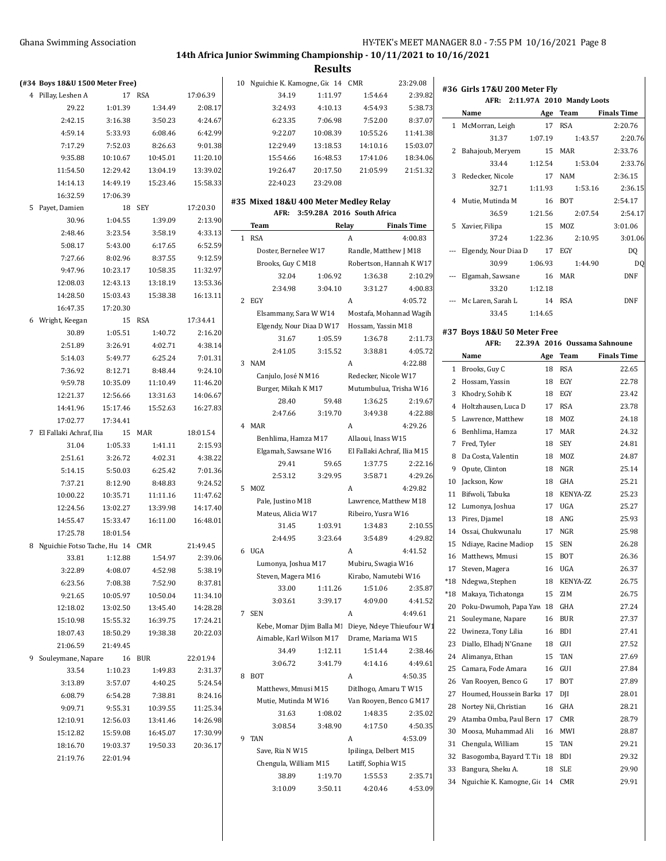**#36 Girls 17&U 200 Meter Fly**

# **14th Africa Junior Swimming Championship - 10/11/2021 to 10/16/2021**

**Results**

|             | (#34 Boys 18&U 1500 Meter Free)          |          |            |                     |
|-------------|------------------------------------------|----------|------------|---------------------|
| $4^{\circ}$ | Pillay, Leshen A                         | 17       | RSA        | 17:06.39            |
|             | 29.22                                    | 1:01.39  | 1:34.49    | 2:08.17             |
|             | 2:42.15                                  | 3:16.38  | 3:50.23    | 4:24.67             |
|             | 4:59.14                                  | 5:33.93  | 6:08.46    | 6:42.99             |
|             | 7:17.29                                  | 7:52.03  | 8:26.63    | 9:01.38             |
|             | 9:35.88                                  | 10:10.67 | 10:45.01   | 11:20.10            |
|             | 11:54.50                                 | 12:29.42 | 13:04.19   | 13:39.02            |
|             | 14:14.13                                 | 14:49.19 | 15:23.46   | 15:58.33            |
|             | 16:32.59                                 | 17:06.39 |            |                     |
| 5           | Payet, Damien                            | 18       | SEY        | 17:20.30            |
|             | 30.96                                    | 1:04.55  | 1:39.09    | 2:13.90             |
|             | 2:48.46                                  | 3:23.54  | 3:58.19    | 4:33.13             |
|             | 5:08.17                                  | 5:43.00  | 6:17.65    | 6:52.59             |
|             | 7:27.66                                  | 8:02.96  | 8:37.55    | 9:12.59             |
|             | 9:47.96                                  | 10:23.17 | 10:58.35   | 11:32.97            |
|             | 12:08.03                                 | 12:43.13 | 13:18.19   | 13:53.36            |
|             | 14:28.50                                 | 15:03.43 | 15:38.38   | 16:13.11            |
|             | 16:47.35                                 | 17:20.30 |            |                     |
| 6           | Wright, Keegan                           | 15       | <b>RSA</b> | 17:34.41            |
|             | 30.89                                    | 1:05.51  | 1:40.72    | 2:16.20             |
|             | 2:51.89                                  | 3:26.91  | 4:02.71    | 4:38.14             |
|             | 5:14.03                                  | 5:49.77  | 6:25.24    | 7:01.31             |
|             | 7:36.92                                  | 8:12.71  | 8:48.44    | 9:24.10             |
|             | 9:59.78                                  | 10:35.09 | 11:10.49   | 11:46.20            |
|             | 12:21.37                                 | 12:56.66 | 13:31.63   | 14:06.67            |
|             | 14:41.96                                 | 15:17.46 | 15:52.63   | 16:27.83            |
|             | 17:02.77                                 | 17:34.41 |            |                     |
| 7           | El Fallaki Achraf, Ilia 15               |          | MAR        | 18:01.54            |
|             | 31.04                                    | 1:05.33  | 1:41.11    | 2:15.93             |
|             | 2:51.61                                  | 3:26.72  | 4:02.31    | 4:38.22             |
|             | 5:14.15                                  | 5:50.03  | 6:25.42    | 7:01.36             |
|             | 7:37.21                                  | 8:12.90  | 8:48.83    | 9:24.52             |
|             | 10:00.22                                 | 10:35.71 | 11:11.16   | 11:47.62            |
|             | 12:24.56                                 | 13:02.27 | 13:39.98   | 14:17.40            |
|             | 14:55.47                                 | 15:33.47 | 16:11.00   | 16:48.01            |
|             | 17:25.78                                 | 18:01.54 |            |                     |
| 8           | Nguichie Fotso Tache, Hu 14 CMR<br>33.81 | 1:12.88  | 1:54.97    | 21:49.45<br>2:39.06 |
|             | 3:22.89                                  | 4:08.07  | 4:52.98    | 5:38.19             |
|             | 6:23.56                                  | 7:08.38  | 7:52.90    | 8:37.81             |
|             | 9:21.65                                  | 10:05.97 | 10:50.04   | 11:34.10            |
|             | 12:18.02                                 | 13:02.50 | 13:45.40   | 14:28.28            |
|             | 15:10.98                                 | 15:55.32 | 16:39.75   | 17:24.21            |
|             | 18:07.43                                 | 18:50.29 | 19:38.38   | 20:22.03            |
|             | 21:06.59                                 | 21:49.45 |            |                     |
| 9           | Souleymane, Napare 16 BUR                |          |            | 22:01.94            |
|             | 33.54                                    | 1:10.23  | 1:49.83    | 2:31.37             |
|             | 3:13.89                                  | 3:57.07  | 4:40.25    | 5:24.54             |
|             | 6:08.79                                  | 6:54.28  | 7:38.81    | 8:24.16             |
|             | 9:09.71                                  | 9:55.31  | 10:39.55   | 11:25.34            |
|             | 12:10.91                                 | 12:56.03 | 13:41.46   | 14:26.98            |
|             | 15:12.82                                 | 15:59.08 | 16:45.07   | 17:30.99            |
|             | 18:16.70                                 | 19:03.37 | 19:50.33   | 20:36.17            |
|             | 21:19.76                                 | 22:01.94 |            |                     |
|             |                                          |          |            |                     |

|                | 10 Nguichie K. Kamogne, Gic 14 CMR |          |          | 23:29.08 |
|----------------|------------------------------------|----------|----------|----------|
|                | 34.19                              | 1:11.97  | 1:54.64  | 2:39.82  |
| 7              | 3:24.93                            | 4:10.13  | 4:54.93  | 5:38.73  |
| 7              | 6:23.35                            | 7:06.98  | 7:52.00  | 8:37.07  |
| ۹l             | 9:22.07                            | 10:08.39 | 10:55.26 | 11:41.38 |
| 8              | 12:29.49                           | 13:18.53 | 14:10.16 | 15:03.07 |
| $\overline{0}$ | 15:54.66                           | 16:48.53 | 17:41.06 | 18:34.06 |
| $\overline{2}$ | 19:26.47                           | 20:17.50 | 21:05.99 | 21:51.32 |
| 3              | 22:40.23                           | 23:29.08 |          |          |
|                |                                    |          |          |          |

#### **#35 Mixed 18&U 400 Meter Medley Relay AFR: 3:59.28A 2016 South Africa**

|   | Team                                                | Relay   |   |                             | <b>Finals Time</b> | Ę              |
|---|-----------------------------------------------------|---------|---|-----------------------------|--------------------|----------------|
| 1 | <b>RSA</b>                                          |         | A |                             | 4:00.83            |                |
|   | Doster, Bernelee W17                                |         |   | Randle, Matthew J M18       |                    |                |
|   | Brooks, Guy C M18                                   |         |   | Robertson, Hannah K W17     |                    |                |
|   | 32.04                                               | 1:06.92 |   | 1:36.38                     | 2:10.29            |                |
|   | 2:34.98                                             | 3:04.10 |   | 3:31.27                     | 4:00.83            |                |
| 2 | EGY                                                 |         | A |                             | 4:05.72            |                |
|   | Elsammany, Sara W W14                               |         |   | Mostafa, Mohannad Wagih     |                    |                |
|   | Elgendy, Nour Diaa D W17                            |         |   | Hossam. Yassin M18          |                    | #37            |
|   | 31.67                                               | 1:05.59 |   | 1:36.78                     | 2:11.73            |                |
|   | 2:41.05                                             | 3:15.52 |   | 3:38.81                     | 4:05.72            |                |
| 3 | <b>NAM</b>                                          |         | A |                             | 4:22.88            | 1              |
|   | Canjulo, José N M16                                 |         |   | Redecker, Nicole W17        |                    | 2              |
|   | Burger, Mikah K M17                                 |         |   | Mutumbulua, Trisha W16      |                    | ă              |
|   | 28.40                                               | 59.48   |   | 1:36.25                     | 2:19.67            | 4              |
|   | 2:47.66                                             | 3:19.70 |   | 3:49.38                     | 4:22.88            | 5              |
|   | 4 MAR                                               |         | A |                             | 4:29.26            | $\epsilon$     |
|   | Benhlima, Hamza M17                                 |         |   | Allaoui, Inass W15          |                    | 7              |
|   | Elgamah, Sawsane W16                                |         |   | El Fallaki Achraf, Ilia M15 |                    | ξ              |
|   | 29.41                                               | 59.65   |   | 1:37.75                     | 2:22.16            | Ç              |
|   | 2:53.12                                             | 3:29.95 |   | 3:58.71                     | 4:29.26            | 1(             |
| 5 | <b>MOZ</b>                                          |         | A |                             | 4:29.82            | 11             |
|   | Pale, Justino M18                                   |         |   | Lawrence, Matthew M18       |                    | 12             |
|   | Mateus, Alicia W17                                  |         |   | Ribeiro, Yusra W16          |                    | 13             |
|   | 31.45                                               | 1:03.91 |   | 1:34.83                     | 2:10.55            | 14             |
|   | 2:44.95                                             | 3:23.64 |   | 3:54.89                     | 4:29.82            | 15             |
| 6 | UGA                                                 |         | A |                             | 4:41.52            | 16             |
|   | Lumonya, Joshua M17                                 |         |   | Mubiru, Swagia W16          |                    | 17             |
|   | Steven, Magera M16                                  |         |   | Kirabo, Namutebi W16        |                    | $*18$          |
|   | 33.00                                               | 1:11.26 |   | 1:51.06                     | 2:35.87            | $*18$          |
|   | 3:03.61                                             | 3:39.17 |   | 4:09.00                     | 4:41.52            | 20             |
|   | 7 SEN                                               |         | A |                             | 4:49.61            | 21             |
|   | Kebe, Momar Djim Balla M. Dieye, Ndeye Thieufour W1 |         |   |                             |                    | 22             |
|   | Aimable, Karl Wilson M17                            |         |   | Drame, Mariama W15          |                    | 23             |
|   | 34.49                                               | 1:12.11 |   | 1:51.44                     | 2:38.46            | 24             |
|   | 3:06.72                                             | 3:41.79 |   | 4:14.16                     | 4:49.61            | 25             |
| 8 | <b>BOT</b>                                          |         | Α |                             | 4:50.35            | 26             |
|   | Matthews, Mmusi M15                                 |         |   | Ditlhogo, Amaru T W15       |                    | 27             |
|   | Mutie, Mutinda M W16                                |         |   | Van Rooyen, Benco G M17     |                    | $2\epsilon$    |
|   | 31.63                                               | 1:08.02 |   | 1:48.35                     | 2:35.02            | 2 <sup>c</sup> |
|   | 3:08.54                                             | 3:48.90 |   | 4:17.50                     | 4:50.35            | 30             |
| 9 | <b>TAN</b>                                          |         | A |                             | 4:53.09            | 31             |
|   | Save, Ria N W15                                     |         |   | Ipilinga, Delbert M15       |                    | 32             |
|   | Chengula, William M15                               |         |   | Latiff, Sophia W15          |                    | 33             |
|   | 38.89                                               | 1:19.70 |   | 1:55.53                     | 2:35.71            | 34             |
|   | 3:10.09                                             | 3:50.11 |   | 4:20.46                     | 4:53.09            |                |

|   | AFR: 2:11.97A 2010 Mandy Loots |         |                 |                    |
|---|--------------------------------|---------|-----------------|--------------------|
|   | Name                           |         | Age Team        | <b>Finals Time</b> |
|   | 1 McMorran, Leigh              | 17      | RSA             | 2:20.76            |
|   | 31.37                          | 1:07.19 | 1:43.57         | 2:20.76            |
| 2 | Bahajoub, Meryem               |         | 15 MAR          | 2:33.76            |
|   | 33.44                          | 1:12.54 | 1:53.04         | 2:33.76            |
|   | 3 Redecker, Nicole             |         | 17 NAM          | 2:36.15            |
|   | 32.71                          |         | 1:11.93 1:53.16 | 2:36.15            |
|   | 4 Mutie, Mutinda M             |         | 16 BOT          | 2:54.17            |
|   | 36.59                          |         | 1:21.56 2:07.54 | 2:54.17            |
|   | 5 Xavier, Filipa               |         | 15 MOZ          | 3:01.06            |
|   | 37.24                          | 1:22.36 | 2:10.95         | 3:01.06            |
|   | Elgendy, Nour Diaa D           | 17      | EGY             | DQ                 |
|   | 30.99                          | 1:06.93 | 1:44.90         | D <sub>0</sub>     |
|   | Elgamah, Sawsane               |         | 16 MAR          | <b>DNF</b>         |
|   | 33.20                          | 1:12.18 |                 |                    |
|   | Mc Laren, Sarah L              | 14      | <b>RSA</b>      | DNF                |
|   | 33.45                          | 1:14.65 |                 |                    |

#### **#37 Boys 18&U 50 Meter Free**

|                | AFR:                     |     | 22.39A 2016 Oussama Sahnoune |                    |
|----------------|--------------------------|-----|------------------------------|--------------------|
|                | Name                     | Age | Team                         | <b>Finals Time</b> |
| 1              | Brooks, Guy C            | 18  | RSA                          | 22.65              |
| $\overline{c}$ | Hossam, Yassin           | 18  | EGY                          | 22.78              |
| 3              | Khodry, Sohib K          | 18  | EGY                          | 23.42              |
| $\overline{4}$ | Holtzhausen, Luca D      | 17  | <b>RSA</b>                   | 23.78              |
| 5              | Lawrence, Matthew        | 18  | MOZ                          | 24.18              |
| 6              | Benhlima, Hamza          | 17  | MAR                          | 24.32              |
| 7              | Fred, Tyler              | 18  | <b>SEY</b>                   | 24.81              |
| 8              | Da Costa, Valentin       | 18  | MOZ                          | 24.87              |
| 9              | Opute, Clinton           | 18  | <b>NGR</b>                   | 25.14              |
| 10             | Jackson, Kow             | 18  | GHA                          | 25.21              |
| 11             | Bifwoli, Tabuka          | 18  | KENYA-ZZ                     | 25.23              |
| 12             | Lumonya, Joshua          | 17  | <b>UGA</b>                   | 25.27              |
| 13             | Pires, Djamel            | 18  | ANG                          | 25.93              |
| 14             | Ossai, Chukwunalu        | 17  | NGR                          | 25.98              |
| 15             | Ndiaye, Racine Madiop    | 15  | <b>SEN</b>                   | 26.28              |
| 16             | Matthews, Mmusi          | 15  | <b>BOT</b>                   | 26.36              |
| 17             | Steven, Magera           | 16  | <b>UGA</b>                   | 26.37              |
| $*18$          | Ndegwa, Stephen          | 18  | KENYA-ZZ                     | 26.75              |
| *18            | Makaya, Tichatonga       | 15  | ZIM                          | 26.75              |
| 20             | Poku-Dwumoh, Papa Yaw    | 18  | <b>GHA</b>                   | 27.24              |
| 21             | Souleymane, Napare       | 16  | <b>BUR</b>                   | 27.37              |
| 22             | Uwineza, Tony Lilia      | 16  | <b>BDI</b>                   | 27.41              |
| 23             | Diallo, Elhadi N'Gnane   | 18  | GUI                          | 27.52              |
| 24             | Alimanya, Ethan          | 15  | <b>TAN</b>                   | 27.69              |
| 25             | Camara, Fode Amara       | 16  | GUI                          | 27.84              |
| 26             | Van Rooyen, Benco G      | 17  | <b>BOT</b>                   | 27.89              |
| 27             | Houmed, Houssein Barka   | 17  | DJI                          | 28.01              |
| 28             | Nortey Nii, Christian    | 16  | GHA                          | 28.21              |
| 29             | Atamba Omba, Paul Bern   | 17  | CMR                          | 28.79              |
| 30             | Moosa, Muhammad Ali      | 16  | MWI                          | 28.87              |
| 31             | Chengula, William        | 15  | <b>TAN</b>                   | 29.21              |
| 32             | Basogomba, Bayard T. Tir | 18  | BDI                          | 29.32              |
| 33             | Bangura, Sheku A.        | 18  | <b>SLE</b>                   | 29.90              |
| 34             | Nguichie K. Kamogne, Gio | 14  | CMR                          | 29.91              |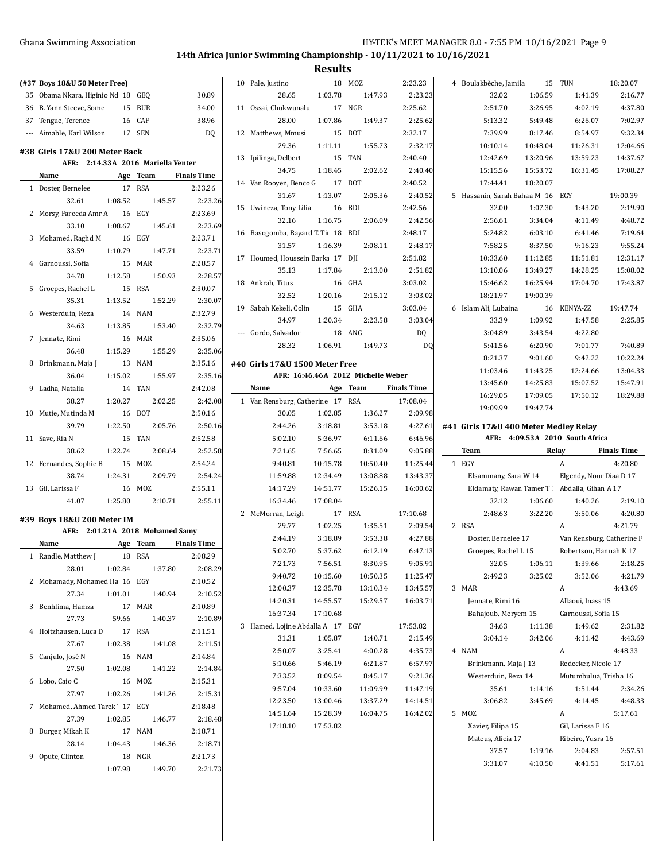# **14th Africa Junior Swimming Championship - 10/11/2021 to 10/16/2021**

|   | (#37 Boys 18&U 50 Meter Free)                                       |          |                       |                         |
|---|---------------------------------------------------------------------|----------|-----------------------|-------------------------|
|   | 35 Obama Nkara, Higinio Nc 18 GEQ                                   |          |                       | 30.89                   |
|   | 36 B. Yann Steeve, Some 15 BUR                                      |          |                       | 34.00                   |
|   | 37 Tengue, Terence                                                  |          | 16 CAF                | 38.96                   |
|   | --- Aimable, Karl Wilson 17 SEN                                     |          |                       | DQ                      |
|   |                                                                     |          |                       |                         |
|   | #38 Girls 17&U 200 Meter Back<br>AFR: 2:14.33A 2016 Mariella Venter |          |                       |                         |
|   | Name Age Team Finals Time                                           |          |                       |                         |
|   | 1 Doster, Bernelee                                                  |          | 17 RSA                | 2:23.26                 |
|   | 32.61                                                               |          | 1:08.52   1:45.57     | 2:23.26                 |
|   | 2 Morsy, Fareeda Amr A 16 EGY                                       |          |                       | 2:23.69                 |
|   | 33.10                                                               | 1:08.67  | 1:45.61               | 2:23.69                 |
|   | 3 Mohamed, Raghd M                                                  | 16 EGY   |                       | 2:23.71                 |
|   | 33.59                                                               | 1:10.79  | 1:47.71               | 2:23.71                 |
|   | 4 Garnoussi, Sofia                                                  | 15 MAR   |                       | 2:28.57                 |
|   | 34.78                                                               | 1:12.58  | 1:50.93               | 2:28.57                 |
|   | 5 Groepes, Rachel L                                                 | 15 RSA   |                       | 2:30.07                 |
|   | 35.31                                                               | 1:13.52  | 1:52.29               | 2:30.07                 |
|   | 6 Westerduin, Reza                                                  |          | 14 NAM                | 2:32.79                 |
|   | 34.63                                                               | 1:13.85  | 1:53.40               | 2:32.79                 |
|   | 7 Jennate, Rimi                                                     |          | 16 MAR                | 2:35.06                 |
|   | 36.48                                                               | 1:15.29  | 1:55.29               | 2:35.06                 |
|   | 8 Brinkmann, Maja J                                                 |          | 13 NAM                | 2:35.16                 |
|   | 36.04                                                               | 1:15.02  | 1:55.97               | 2:35.16                 |
|   | 9 Ladha, Natalia                                                    |          | 14 TAN                | 2:42.08                 |
|   | 38.27                                                               | 1:20.27  | 2:02.25               | 2:42.08                 |
|   | 10 Mutie, Mutinda M                                                 |          | 16 BOT                | 2:50.16                 |
|   |                                                                     |          | 39.79 1:22.50 2:05.76 | 2:50.16                 |
|   | 11 Save, Ria N                                                      |          | 15 TAN                | 2:52.58                 |
|   | 38.62                                                               |          | 1:22.74 2:08.64       | 2:52.58                 |
|   | 12 Fernandes, Sophie B 15 MOZ                                       |          |                       | 2:54.24                 |
|   | 38.74                                                               |          | 1:24.31 2:09.79       | 2:54.24                 |
|   | 13 Gil, Larissa F                                                   |          | 16 MOZ                | 2:55.11                 |
|   | 41.07                                                               |          |                       | 1:25.80 2:10.71 2:55.11 |
|   |                                                                     |          |                       |                         |
|   | #39 Boys 18&U 200 Meter IM                                          |          |                       |                         |
|   | AFR: 2:01.21A 2018 Mohamed Samy<br>Name                             |          |                       |                         |
|   |                                                                     | Age Team |                       | Finals Time             |
|   | 1 Randle, Matthew J 18 RSA 2:08.29                                  |          |                       |                         |
|   | 28.01                                                               |          | 1:02.84 1:37.80       | 2:08.29                 |
|   | 2 Mohamady, Mohamed Ha 16 EGY<br>27.34                              |          |                       | 2:10.52<br>2:10.52      |
|   |                                                                     | 1:01.01  | 1:40.94               |                         |
|   | 3 Benhlima, Hamza<br>27.73                                          |          | 17 MAR                | 2:10.89                 |
|   |                                                                     | 59.66    | 1:40.37<br>17 RSA     | 2:10.89                 |
|   | 4 Holtzhausen, Luca D                                               |          |                       | 2:11.51                 |
|   | 27.67                                                               | 1:02.38  | 1:41.08               | 2:11.51                 |
|   | 5 Canjulo, José N                                                   | 1:02.08  | 16 NAM                | 2:14.84                 |
|   | 27.50                                                               |          | 1:41.22               | 2:14.84                 |
| 6 | Lobo, Caio C                                                        |          | 16 MOZ                | 2:15.31                 |
|   | 27.97                                                               | 1:02.26  | 1:41.26               | 2:15.31                 |
|   | 7 Mohamed, Ahmed Tarek 17 EGY                                       |          |                       | 2:18.48                 |
|   | 27.39                                                               | 1:02.85  | 1:46.77<br>17 NAM     | 2:18.48                 |
|   | 8 Burger, Mikah K                                                   |          |                       | 2:18.71                 |
|   | 28.14                                                               | 1:04.43  | 1:46.36               | 2:18.71                 |
| 9 | Opute, Clinton                                                      |          | 18 NGR                | 2:21.73                 |
|   |                                                                     | 1:07.98  | 1:49.70               | 2:21.73                 |

| 10 Pale, Justino                   | 18                   | MOZ                                | 2:23.23             |
|------------------------------------|----------------------|------------------------------------|---------------------|
| 28.65 1:03.78                      |                      | 1:47.93                            | 2:23.23             |
| 11 Ossai, Chukwunalu               | 17                   | <b>NGR</b>                         | 2:25.62             |
| 28.00                              | 1:07.86              | 1:49.37                            | 2:25.62             |
| 12 Matthews, Mmusi                 | 15                   | BOT                                | 2:32.17             |
| 29.36                              | 1:11.11              | 1:55.73                            | 2:32.17             |
| 13 Ipilinga, Delbert               | 15                   | TAN                                | 2:40.40             |
| 34.75                              | 1:18.45              | 2:02.62                            | 2:40.40             |
| 14 Van Rooyen, Benco G 17          |                      | BOT                                | 2:40.52             |
|                                    | 31.67 1:13.07        | 2:05.36                            | 2:40.52             |
| 15 Uwineza, Tony Lilia 16          |                      | <b>BDI</b>                         | 2:42.56             |
| 32.16                              |                      | 1:16.75 2:06.09                    | 2:42.56             |
| 16 Basogomba, Bayard T. Tir 18 BDI |                      |                                    | 2:48.17             |
| 31.57                              | 1:16.39              | 2:08.11                            | 2:48.17             |
| 17 Houmed, Houssein Barka 17 DJI   |                      |                                    | 2:51.82             |
| 35.13                              | 1:17.84              | 2:13.00                            | 2:51.82             |
| 18 Ankrah, Titus                   |                      | 16 GHA                             | 3:03.02             |
| 32.52                              | 1:20.16              | 2:15.12                            | 3:03.02             |
| 19 Sabah Kekeli, Colin             | 15 GHA               |                                    | 3:03.04             |
| 34.97                              | 1:20.34              | 2:23.58                            | 3:03.04             |
| --- Gordo, Salvador                | 18 ANG               |                                    | DQ                  |
|                                    |                      | 28.32 1.06.91 1.49.73              | DQ                  |
|                                    |                      |                                    |                     |
| #40 Girls 17&U 1500 Meter Free     |                      |                                    |                     |
|                                    |                      | AFR: 16:46.46A 2012 Michelle Weber |                     |
| Name Age Team Finals Time          |                      |                                    |                     |
| 1 Van Rensburg, Catherine 17 RSA   |                      |                                    | 17:08.04            |
| 30.05<br>2:44.26                   | 1:02.85<br>3:18.81   | 1:36.27                            | 2:09.98             |
| 5:02.10                            |                      | 3:53.18                            | 4:27.61             |
| 7:21.65                            | 5:36.97<br>7:56.65   | 6:11.66                            | 6:46.96<br>9:05.88  |
| 9:40.81                            | 10:15.78             | 8:31.09<br>10:50.40                | 11:25.44            |
| 11:59.88                           | 12:34.49             | 13:08.88                           | 13:43.37            |
| 14.17.29 14.51.77                  |                      |                                    | 15:26.15  16:00.62  |
| 16:34.46                           | 17:08.04             |                                    |                     |
| 2 McMorran, Leigh                  |                      | 17 RSA                             | 17:10.68            |
| 29.77                              | 1:02.25              | 1:35.51                            | 2:09.54             |
| 2:44.19                            | 3:18.89              | 3:53.38                            | 4:27.88             |
| 5:02.70                            | 5:37.62              | 6:12.19                            | 6:47.13             |
| 7:21.73                            | 7:56.51              | 8:30.95                            | 9:05.91             |
|                                    |                      |                                    | 11:25.47            |
|                                    |                      |                                    |                     |
| 9:40.72                            | 10:15.60             | 10:50.35                           |                     |
| 12:00.37                           | 12:35.78             | 13:10.34                           | 13:45.57            |
| 14:20.31                           | 14:55.57             | 15:29.57                           | 16:03.71            |
| 16:37.34 17:10.68                  |                      |                                    |                     |
| 3 Hamed, Lojine Abdalla A 17 EGY   |                      |                                    | 17:53.82            |
| 31.31                              | 1:05.87              | 1:40.71                            | 2:15.49             |
| 2:50.07                            |                      | 3.25.41 4.00.28                    | 4:35.73<br>6:57.97  |
|                                    |                      | 5:10.66 5:46.19 6:21.87            |                     |
| 7:33.52<br>9:57.04                 | 8:09.54              | 8:45.17                            | 9:21.36             |
|                                    | 10:33.60             | 11:09.99                           | 11:47.19            |
| 12:23.50<br>14:51.64               | 13:00.46             | 13:37.29                           | 14:14.51            |
| 17:18.10                           | 15:28.39<br>17:53.82 |                                    | 16:04.75   16:42.02 |
|                                    |                      |                                    |                     |
|                                    |                      |                                    |                     |
|                                    |                      |                                    |                     |

| 4 | Boulakbèche, Jamila                           | 15       | TUN                               | 18:20.07           |
|---|-----------------------------------------------|----------|-----------------------------------|--------------------|
|   | 32.02                                         | 1:06.59  | 1:41.39                           | 2:16.77            |
|   | 2:51.70                                       | 3:26.95  | 4:02.19                           | 4:37.80            |
|   | 5:13.32                                       | 5:49.48  | 6:26.07                           | 7:02.97            |
|   | 7:39.99                                       | 8:17.46  | 8:54.97                           | 9:32.34            |
|   | 10:10.14                                      | 10:48.04 | 11:26.31                          | 12:04.66           |
|   | 12:42.69                                      | 13:20.96 | 13:59.23                          | 14:37.67           |
|   | 15:15.56                                      | 15:53.72 | 16:31.45                          | 17:08.27           |
|   | 17:44.41                                      | 18:20.07 |                                   |                    |
| 5 | Hassanin, Sarah Bahaa M 16                    |          | EGY                               | 19:00.39           |
|   | 32.00                                         | 1:07.30  | 1:43.20                           | 2:19.90            |
|   | 2:56.61                                       | 3:34.04  | 4:11.49                           | 4:48.72            |
|   | 5:24.82                                       | 6:03.10  | 6:41.46                           | 7:19.64            |
|   | 7:58.25                                       | 8:37.50  | 9:16.23                           | 9:55.24            |
|   | 10:33.60                                      | 11:12.85 | 11:51.81                          | 12:31.17           |
|   | 13:10.06                                      | 13:49.27 | 14:28.25                          | 15:08.02           |
|   | 15:46.62                                      | 16:25.94 | 17:04.70                          | 17:43.87           |
|   | 18:21.97                                      | 19:00.39 |                                   |                    |
| 6 | Islam Ali, Lubaina                            | 16       | KENYA-ZZ                          | 19:47.74           |
|   | 33.39                                         | 1:09.92  | 1:47.58                           | 2:25.85            |
|   | 3:04.89                                       | 3:43.54  | 4:22.80                           |                    |
|   | 5:41.56                                       | 6:20.90  | 7:01.77                           | 7:40.89            |
|   | 8:21.37                                       | 9:01.60  | 9:42.22                           | 10:22.24           |
|   | 11:03.46                                      | 11:43.25 | 12:24.66                          | 13:04.33           |
|   | 13:45.60                                      | 14:25.83 | 15:07.52                          | 15:47.91           |
|   | 16:29.05                                      | 17:09.05 | 17:50.12                          | 18:29.88           |
|   | 19:09.99                                      | 19:47.74 |                                   |                    |
|   | #41 Girls 17&U 400 Meter Medley Relay         |          |                                   |                    |
|   |                                               |          | AFR: 4:09.53A 2010 South Africa   |                    |
|   | Team                                          |          | Relay                             | <b>Finals Time</b> |
| 1 | EGY                                           |          | A                                 | 4:20.80            |
|   | Elsammany, Sara W 14                          |          | Elgendy, Nour Diaa D 17           |                    |
|   | Eldamaty, Rawan Tamer T . Abdalla, Gihan A 17 |          |                                   |                    |
|   |                                               |          | $2212$ $1.0660$ $1.0026$ $2.1010$ |                    |

|                      | 32.12                | 1:06.60             | 1:40.26                   | 2:19.10                |  |  |
|----------------------|----------------------|---------------------|---------------------------|------------------------|--|--|
|                      | 2:48.63              | 3:22.20             | 3:50.06                   | 4:20.80                |  |  |
| $\overline{2}$       | <b>RSA</b>           |                     | A                         | 4:21.79                |  |  |
|                      | Doster, Bernelee 17  |                     | Van Rensburg, Catherine F |                        |  |  |
|                      | Groepes, Rachel L 15 |                     |                           | Robertson, Hannah K 17 |  |  |
|                      | 32.05                | 1:06.11             | 1:39.66                   | 2:18.25                |  |  |
|                      | 2:49.23              | 3:25.02             | 3:52.06                   | 4:21.79                |  |  |
| 3                    | <b>MAR</b>           |                     | A                         | 4:43.69                |  |  |
|                      | Jennate, Rimi 16     |                     | Allaoui, Inass 15         |                        |  |  |
|                      | Bahajoub, Meryem 15  |                     | Garnoussi, Sofia 15       |                        |  |  |
|                      | 34.63                | 1:11.38             | 1:49.62                   | 2:31.82                |  |  |
|                      | 3:04.14              | 3:42.06             | 4:11.42                   | 4:43.69                |  |  |
| 4                    | <b>NAM</b>           |                     | A                         | 4:48.33                |  |  |
| Brinkmann, Maja J 13 |                      | Redecker, Nicole 17 |                           |                        |  |  |
|                      | Westerduin, Reza 14  |                     | Mutumbulua, Trisha 16     |                        |  |  |
|                      | 35.61                | 1:14.16             | 1:51.44                   | 2:34.26                |  |  |
|                      | 3:06.82              | 3:45.69             | 4:14.45                   | 4:48.33                |  |  |
| 5                    | MOZ                  |                     | A                         | 5:17.61                |  |  |
|                      | Xavier, Filipa 15    |                     | Gil, Larissa F 16         |                        |  |  |
|                      | Mateus, Alicia 17    |                     | Ribeiro, Yusra 16         |                        |  |  |
|                      | 37.57                | 1:19.16             | 2:04.83                   | 2:57.51                |  |  |
|                      | 3:31.07              | 4:10.50             | 4:41.51                   | 5:17.61                |  |  |